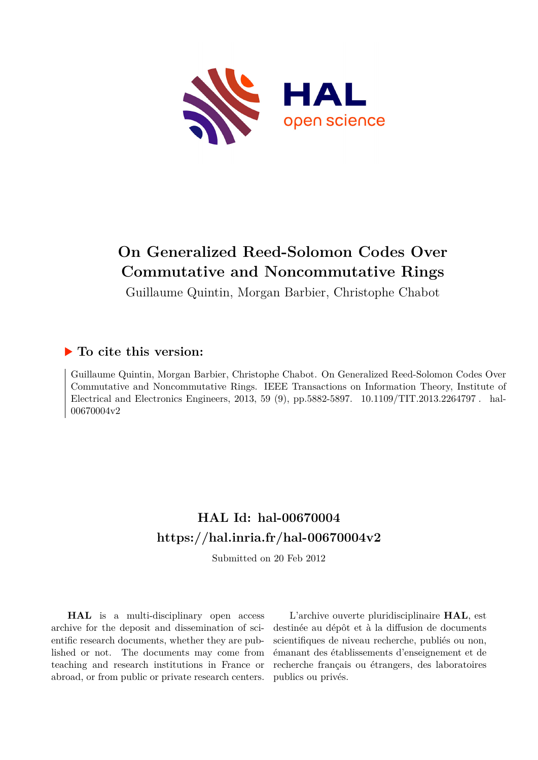

# **On Generalized Reed-Solomon Codes Over Commutative and Noncommutative Rings**

Guillaume Quintin, Morgan Barbier, Christophe Chabot

## **To cite this version:**

Guillaume Quintin, Morgan Barbier, Christophe Chabot. On Generalized Reed-Solomon Codes Over Commutative and Noncommutative Rings. IEEE Transactions on Information Theory, Institute of Electrical and Electronics Engineers, 2013, 59 (9), pp.5882-5897. 10.1109/TIT.2013.2264797. hal-00670004v2

## **HAL Id: hal-00670004 <https://hal.inria.fr/hal-00670004v2>**

Submitted on 20 Feb 2012

**HAL** is a multi-disciplinary open access archive for the deposit and dissemination of scientific research documents, whether they are published or not. The documents may come from teaching and research institutions in France or abroad, or from public or private research centers.

L'archive ouverte pluridisciplinaire **HAL**, est destinée au dépôt et à la diffusion de documents scientifiques de niveau recherche, publiés ou non, émanant des établissements d'enseignement et de recherche français ou étrangers, des laboratoires publics ou privés.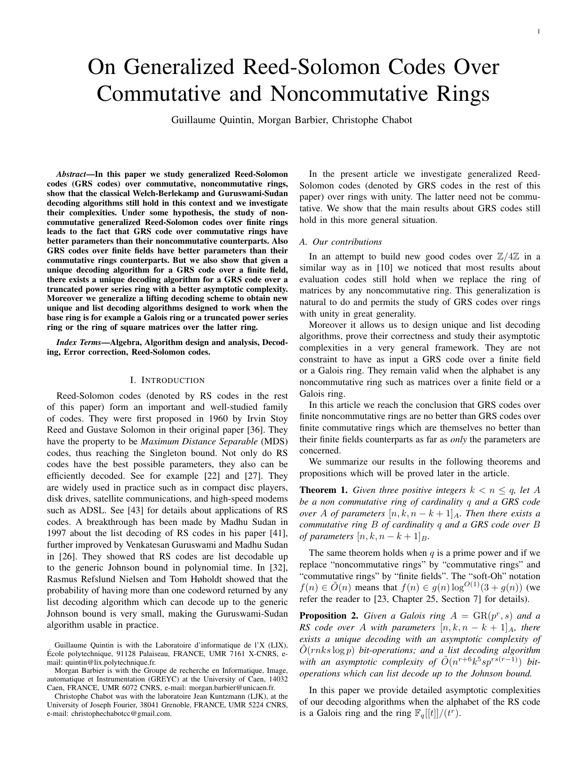# On Generalized Reed-Solomon Codes Over Commutative and Noncommutative Rings

Guillaume Quintin, Morgan Barbier, Christophe Chabot

*Abstract*—In this paper we study generalized Reed-Solomon codes (GRS codes) over commutative, noncommutative rings, show that the classical Welch-Berlekamp and Guruswami-Sudan decoding algorithms still hold in this context and we investigate their complexities. Under some hypothesis, the study of noncommutative generalized Reed-Solomon codes over finite rings leads to the fact that GRS code over commutative rings have better parameters than their noncommutative counterparts. Also GRS codes over finite fields have better parameters than their commutative rings counterparts. But we also show that given a unique decoding algorithm for a GRS code over a finite field, there exists a unique decoding algorithm for a GRS code over a truncated power series ring with a better asymptotic complexity. Moreover we generalize a lifting decoding scheme to obtain new unique and list decoding algorithms designed to work when the base ring is for example a Galois ring or a truncated power series ring or the ring of square matrices over the latter ring.

*Index Terms*—Algebra, Algorithm design and analysis, Decoding, Error correction, Reed-Solomon codes.

## I. INTRODUCTION

Reed-Solomon codes (denoted by RS codes in the rest of this paper) form an important and well-studied family of codes. They were first proposed in 1960 by Irvin Stoy Reed and Gustave Solomon in their original paper [36]. They have the property to be *Maximum Distance Separable* (MDS) codes, thus reaching the Singleton bound. Not only do RS codes have the best possible parameters, they also can be efficiently decoded. See for example [22] and [27]. They are widely used in practice such as in compact disc players, disk drives, satellite communications, and high-speed modems such as ADSL. See [43] for details about applications of RS codes. A breakthrough has been made by Madhu Sudan in 1997 about the list decoding of RS codes in his paper [41], further improved by Venkatesan Guruswami and Madhu Sudan in [26]. They showed that RS codes are list decodable up to the generic Johnson bound in polynomial time. In [32], Rasmus Refslund Nielsen and Tom Høholdt showed that the probability of having more than one codeword returned by any list decoding algorithm which can decode up to the generic Johnson bound is very small, making the Guruswami-Sudan algorithm usable in practice.

In the present article we investigate generalized Reed-Solomon codes (denoted by GRS codes in the rest of this paper) over rings with unity. The latter need not be commutative. We show that the main results about GRS codes still hold in this more general situation.

## *A. Our contributions*

In an attempt to build new good codes over  $\mathbb{Z}/4\mathbb{Z}$  in a similar way as in [10] we noticed that most results about evaluation codes still hold when we replace the ring of matrices by any noncommutative ring. This generalization is natural to do and permits the study of GRS codes over rings with unity in great generality.

Moreover it allows us to design unique and list decoding algorithms, prove their correctness and study their asymptotic complexities in a very general framework. They are not constraint to have as input a GRS code over a finite field or a Galois ring. They remain valid when the alphabet is any noncommutative ring such as matrices over a finite field or a Galois ring.

In this article we reach the conclusion that GRS codes over finite noncommutative rings are no better than GRS codes over finite commutative rings which are themselves no better than their finite fields counterparts as far as *only* the parameters are concerned.

We summarize our results in the following theorems and propositions which will be proved later in the article.

**Theorem 1.** *Given three positive integers*  $k < n \leq q$ , let A *be a non commutative ring of cardinality* q *and a GRS code over* A *of parameters*  $[n, k, n - k + 1]_A$ *. Then there exists a commutative ring* B *of cardinality* q *and a GRS code over* B *of parameters*  $[n, k, n - k + 1]_B$ .

The same theorem holds when  $q$  is a prime power and if we replace "noncommutative rings" by "commutative rings" and "commutative rings" by "finite fields". The "soft-Oh" notation  $f(n) \in \tilde{O}(n)$  means that  $f(n) \in g(n) \log^{O(1)}(3 + g(n))$  (we refer the reader to [23, Chapter 25, Section 7] for details).

**Proposition 2.** Given a Galois ring  $A = \text{GR}(p^r, s)$  and a *RS code over* A *with parameters*  $[n, k, n - k + 1]_A$ *, there exists a unique decoding with an asymptotic complexity of*  $O(rnks \log p)$  *bit-operations; and a list decoding algorithm* with an asymptotic complexity of  $\tilde{O}(n^{r+6}k^5sp^{rs(r-1)})$  bit*operations which can list decode up to the Johnson bound.*

In this paper we provide detailed asymptotic complexities of our decoding algorithms when the alphabet of the RS code is a Galois ring and the ring  $\mathbb{F}_q[[t]]/(t^r)$ .

Guillaume Quintin is with the Laboratoire d'informatique de l'X (LIX), Ecole polytechnique, 91128 Palaiseau, FRANCE, UMR 7161 X-CNRS, e- ´ mail: quintin@lix.polytechnique.fr.

Morgan Barbier is with the Groupe de recherche en Informatique, Image, automatique et Instrumentation (GREYC) at the University of Caen, 14032 Caen, FRANCE, UMR 6072 CNRS, e-mail: morgan.barbier@unicaen.fr.

Christophe Chabot was with the laboratoire Jean Kuntzmann (LJK), at the University of Joseph Fourier, 38041 Grenoble, FRANCE, UMR 5224 CNRS, e-mail: christophechabotcc@gmail.com.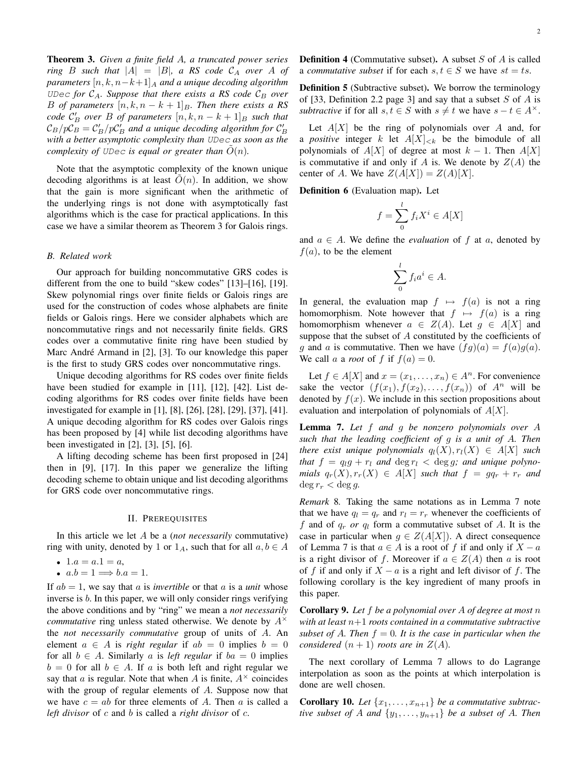Theorem 3. *Given a finite field* A*, a truncated power series ring* B *such that*  $|A| = |B|$ *, a RS code*  $C_A$  *over* A *of parameters*  $[n, k, n-k+1]_A$  *and a unique decoding algorithm* UDec for  $C_A$ . Suppose that there exists a RS code  $C_B$  over *B of parameters*  $[n, k, n - k + 1]_B$ *. Then there exists a RS code*  $\mathcal{C}'_B$  *over* B *of parameters*  $[n, k, n - k + 1]_B$  *such that*  $\mathcal{C}_B/p\mathcal{C}_B = \mathcal{C}'_B/p\mathcal{C}'_B$  and a unique decoding algorithm for  $\mathcal{C}'_B$ *with a better asymptotic complexity than* UDec *as soon as the complexity of UDec is equal or greater than*  $O(n)$ *.* 

Note that the asymptotic complexity of the known unique decoding algorithms is at least  $O(n)$ . In addition, we show that the gain is more significant when the arithmetic of the underlying rings is not done with asymptotically fast algorithms which is the case for practical applications. In this case we have a similar theorem as Theorem 3 for Galois rings.

### *B. Related work*

Our approach for building noncommutative GRS codes is different from the one to build "skew codes" [13]–[16], [19]. Skew polynomial rings over finite fields or Galois rings are used for the construction of codes whose alphabets are finite fields or Galois rings. Here we consider alphabets which are noncommutative rings and not necessarily finite fields. GRS codes over a commutative finite ring have been studied by Marc André Armand in [2], [3]. To our knowledge this paper is the first to study GRS codes over noncommutative rings.

Unique decoding algorithms for RS codes over finite fields have been studied for example in [11], [12], [42]. List decoding algorithms for RS codes over finite fields have been investigated for example in [1], [8], [26], [28], [29], [37], [41]. A unique decoding algorithm for RS codes over Galois rings has been proposed by [4] while list decoding algorithms have been investigated in [2], [3], [5], [6].

A lifting decoding scheme has been first proposed in [24] then in [9], [17]. In this paper we generalize the lifting decoding scheme to obtain unique and list decoding algorithms for GRS code over noncommutative rings.

#### II. PREREQUISITES

In this article we let A be a (*not necessarily* commutative) ring with unity, denoted by 1 or  $1_A$ , such that for all  $a, b \in A$ 

• 1. $a = a.1 = a$ ,

• 
$$
a.b = 1 \Longrightarrow b.a = 1.
$$

If  $ab = 1$ , we say that a is *invertible* or that a is a *unit* whose inverse is b. In this paper, we will only consider rings verifying the above conditions and by "ring" we mean a *not necessarily commutative* ring unless stated otherwise. We denote by  $A^{\times}$ the *not necessarily commutative* group of units of A. An element  $a \in A$  is *right regular* if  $ab = 0$  implies  $b = 0$ for all  $b \in A$ . Similarly a is *left regular* if  $ba = 0$  implies  $b = 0$  for all  $b \in A$ . If a is both left and right regular we say that a is regular. Note that when A is finite,  $A^{\times}$  coincides with the group of regular elements of A. Suppose now that we have  $c = ab$  for three elements of A. Then a is called a *left divisor* of c and b is called a *right divisor* of c.

**Definition 4** (Commutative subset). A subset  $S$  of  $A$  is called a *commutative subset* if for each  $s, t \in S$  we have  $st = ts$ .

Definition 5 (Subtractive subset). We borrow the terminology of [33, Definition 2.2 page 3] and say that a subset  $S$  of  $A$  is *subtractive* if for all  $s, t \in S$  with  $s \neq t$  we have  $s - t \in A^{\times}$ .

Let  $A[X]$  be the ring of polynomials over A and, for a *positive* integer k let  $A[X]_{< k}$  be the bimodule of all polynomials of  $A[X]$  of degree at most  $k - 1$ . Then  $A[X]$ is commutative if and only if A is. We denote by  $Z(A)$  the center of A. We have  $Z(A[X]) = Z(A)[X]$ .

Definition 6 (Evaluation map). Let

$$
f = \sum_{0}^{l} f_i X^i \in A[X]
$$

and  $a \in A$ . We define the *evaluation* of f at a, denoted by  $f(a)$ , to be the element

$$
\sum_{0}^{l} f_{i} a^{i} \in A.
$$

In general, the evaluation map  $f \mapsto f(a)$  is not a ring homomorphism. Note however that  $f \mapsto f(a)$  is a ring homomorphism whenever  $a \in Z(A)$ . Let  $g \in A[X]$  and suppose that the subset of  $A$  constituted by the coefficients of g and a is commutative. Then we have  $(fg)(a) = f(a)g(a)$ . We call a a *root* of f if  $f(a) = 0$ .

Let  $f \in A[X]$  and  $x = (x_1, \ldots, x_n) \in A^n$ . For convenience sake the vector  $(f(x_1), f(x_2), \ldots, f(x_n))$  of  $A^n$  will be denoted by  $f(x)$ . We include in this section propositions about evaluation and interpolation of polynomials of  $A[X]$ .

Lemma 7. *Let* f *and* g *be nonzero polynomials over* A *such that the leading coefficient of* g *is a unit of* A*. Then there exist unique polynomials*  $q_l(X), r_l(X) \in A[X]$  *such that*  $f = q_l g + r_l$  *and*  $\deg r_l < \deg g$ *; and unique polynomials*  $q_r(X), r_r(X) \in A[X]$  *such that*  $f = gq_r + r_r$  *and*  $\deg r_r < \deg g$ .

*Remark* 8*.* Taking the same notations as in Lemma 7 note that we have  $q_l = q_r$  and  $r_l = r_r$  whenever the coefficients of f and of  $q_r$  *or*  $q_l$  form a commutative subset of A. It is the case in particular when  $g \in Z(A[X])$ . A direct consequence of Lemma 7 is that  $a \in A$  is a root of f if and only if  $X - a$ is a right divisor of f. Moreover if  $a \in Z(A)$  then a is root of f if and only if  $X - a$  is a right and left divisor of f. The following corollary is the key ingredient of many proofs in this paper.

Corollary 9. *Let* f *be a polynomial over* A *of degree at most* n *with at least* n+1 *roots contained in a commutative subtractive subset of A. Then*  $f = 0$ *. It is the case in particular when the considered*  $(n + 1)$  *roots are in*  $Z(A)$ *.* 

The next corollary of Lemma 7 allows to do Lagrange interpolation as soon as the points at which interpolation is done are well chosen.

**Corollary 10.** Let  $\{x_1, \ldots, x_{n+1}\}$  be a commutative subtrac*tive subset of* A *and*  $\{y_1, \ldots, y_{n+1}\}$  *be a subset of* A. Then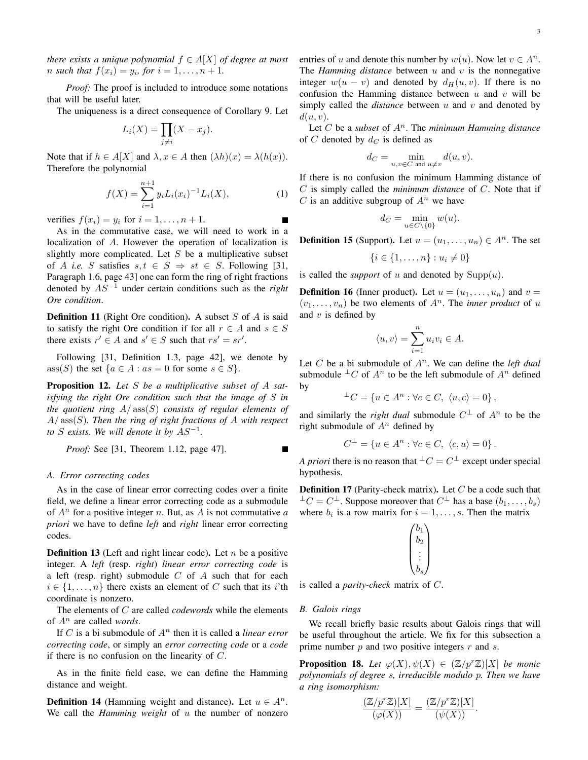*there exists a unique polynomial*  $f \in A[X]$  *of degree at most n* such that  $f(x_i) = y_i$ , for  $i = 1, ..., n + 1$ .

*Proof:* The proof is included to introduce some notations that will be useful later.

The uniqueness is a direct consequence of Corollary 9. Let

$$
L_i(X) = \prod_{j \neq i} (X - x_j).
$$

Note that if  $h \in A[X]$  and  $\lambda, x \in A$  then  $(\lambda h)(x) = \lambda(h(x)).$ Therefore the polynomial

$$
f(X) = \sum_{i=1}^{n+1} y_i L_i(x_i)^{-1} L_i(X), \qquad (1)
$$

verifies  $f(x_i) = y_i$  for  $i = 1, \ldots, n + 1$ .

As in the commutative case, we will need to work in a localization of A. However the operation of localization is slightly more complicated. Let  $S$  be a multiplicative subset of A *i.e.* S satisfies  $s, t \in S \Rightarrow st \in S$ . Following [31, Paragraph 1.6, page 43] one can form the ring of right fractions denoted by AS<sup>−</sup><sup>1</sup> under certain conditions such as the *right Ore condition*.

**Definition 11** (Right Ore condition). A subset  $S$  of  $A$  is said to satisfy the right Ore condition if for all  $r \in A$  and  $s \in S$ there exists  $r' \in A$  and  $s' \in S$  such that  $rs' = sr'$ .

Following [31, Definition 1.3, page 42], we denote by ass(S) the set  $\{a \in A : as = 0 \text{ for some } s \in S\}.$ 

Proposition 12. *Let* S *be a multiplicative subset of* A *satisfying the right Ore condition such that the image of* S *in the quotient ring* A/ ass(S) *consists of regular elements of* A/ ass(S)*. Then the ring of right fractions of* A *with respect to* S exists. We will denote it by  $AS^{-1}$ .

*Proof:* See [31, Theorem 1.12, page 47].

#### *A. Error correcting codes*

As in the case of linear error correcting codes over a finite field, we define a linear error correcting code as a submodule of  $A<sup>n</sup>$  for a positive integer *n*. But, as A is not commutative *a priori* we have to define *left* and *right* linear error correcting codes.

**Definition 13** (Left and right linear code). Let  $n$  be a positive integer. A *left* (resp. *right*) *linear error correcting code* is a left (resp. right) submodule  $C$  of  $A$  such that for each  $i \in \{1, \ldots, n\}$  there exists an element of C such that its i'th coordinate is nonzero.

The elements of C are called *codewords* while the elements of A<sup>n</sup> are called *words*.

If C is a bi submodule of  $A<sup>n</sup>$  then it is called a *linear error correcting code*, or simply an *error correcting code* or a *code* if there is no confusion on the linearity of  $C$ .

As in the finite field case, we can define the Hamming distance and weight.

**Definition 14** (Hamming weight and distance). Let  $u \in A^n$ . We call the *Hamming weight* of u the number of nonzero entries of u and denote this number by  $w(u)$ . Now let  $v \in A^n$ . The *Hamming distance* between u and v is the nonnegative integer  $w(u - v)$  and denoted by  $d_H(u, v)$ . If there is no confusion the Hamming distance between  $u$  and  $v$  will be simply called the  $distance$  between  $u$  and  $v$  and denoted by  $d(u, v)$ .

Let  $C$  be a *subset* of  $A<sup>n</sup>$ . The *minimum Hamming distance* of C denoted by  $d_C$  is defined as

$$
d_C = \min_{u,v \in C \text{ and } u \neq v} d(u,v).
$$

If there is no confusion the minimum Hamming distance of C is simply called the *minimum distance* of C. Note that if C is an additive subgroup of  $A<sup>n</sup>$  we have

$$
d_C = \min_{u \in C \backslash \{0\}} w(u).
$$

**Definition 15** (Support). Let  $u = (u_1, \ldots, u_n) \in A^n$ . The set

$$
\{i \in \{1, \ldots, n\} : u_i \neq 0\}
$$

is called the *support* of  $u$  and denoted by  $\text{Supp}(u)$ .

**Definition 16** (Inner product). Let  $u = (u_1, \ldots, u_n)$  and  $v =$  $(v_1, \ldots, v_n)$  be two elements of  $A^n$ . The *inner product* of u and  $v$  is defined by

$$
\langle u, v \rangle = \sum_{i=1}^{n} u_i v_i \in A.
$$

Let  $C$  be a bi submodule of  $A<sup>n</sup>$ . We can define the *left dual* submodule  $\perp^{\perp}C$  of  $A^n$  to be the left submodule of  $A^n$  defined by

$$
{}^{\perp}C = \{ u \in A^n : \forall c \in C, \ \langle u, c \rangle = 0 \},
$$

and similarly the *right dual* submodule  $C^{\perp}$  of  $A^{n}$  to be the right submodule of  $A<sup>n</sup>$  defined by

$$
C^{\perp} = \{ u \in A^n : \forall c \in C, \ \langle c, u \rangle = 0 \}.
$$

*A priori* there is no reason that  $\pm C = C^{\pm}$  except under special hypothesis.

**Definition 17** (Parity-check matrix). Let  $C$  be a code such that  $\perp C = C^{\perp}$ . Suppose moreover that  $C^{\perp}$  has a base  $(b_1, \ldots, b_s)$ where  $b_i$  is a row matrix for  $i = 1, \ldots, s$ . Then the matrix

$$
\begin{pmatrix} b_1 \\ b_2 \\ \vdots \\ b_s \end{pmatrix}
$$

is called a *parity-check* matrix of C.

#### *B. Galois rings*

We recall briefly basic results about Galois rings that will be useful throughout the article. We fix for this subsection a prime number  $p$  and two positive integers  $r$  and  $s$ .

**Proposition 18.** Let  $\varphi(X), \psi(X) \in (\mathbb{Z}/p^r\mathbb{Z})[X]$  be monic *polynomials of degree* s*, irreducible modulo* p*. Then we have a ring isomorphism:*

$$
\frac{(\mathbb{Z}/p^r\mathbb{Z})[X]}{(\varphi(X))} = \frac{(\mathbb{Z}/p^r\mathbb{Z})[X]}{(\psi(X))}.
$$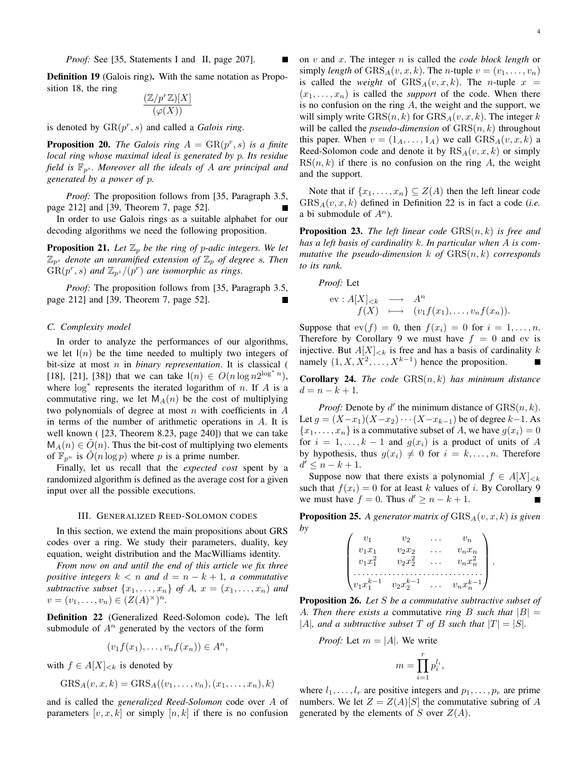Definition 19 (Galois ring). With the same notation as Proposition 18, the ring

$$
\frac{(\mathbb{Z}/p^r\mathbb{Z})[X]}{(\varphi(X))}
$$

is denoted by  $\text{GR}(p^r, s)$  and called a *Galois ring*.

**Proposition 20.** *The Galois ring*  $A = \text{GR}(p^r, s)$  *is a finite local ring whose maximal ideal is generated by* p*. Its residue field is*  $\mathbb{F}_{p^s}$ *. Moreover all the ideals of A are principal and generated by a power of* p*.*

*Proof:* The proposition follows from [35, Paragraph 3.5, page 212] and [39, Theorem 7, page 52].

In order to use Galois rings as a suitable alphabet for our decoding algorithms we need the following proposition.

**Proposition 21.** Let  $\mathbb{Z}_p$  be the ring of p-adic integers. We let  $\mathbb{Z}_{p^s}$  denote an unramified extension of  $\mathbb{Z}_p$  of degree s. Then  $\overline{GR}(p^r, s)$  and  $\mathbb{Z}_{p^s}/(p^r)$  are isomorphic as rings.

*Proof:* The proposition follows from [35, Paragraph 3.5, page 212] and [39, Theorem 7, page 52].

## *C. Complexity model*

In order to analyze the performances of our algorithms, we let  $I(n)$  be the time needed to multiply two integers of bit-size at most n in *binary representation*. It is classical ( [18], [21], [38]) that we can take  $I(n) \in O(n \log n 2^{\log^* n})$ , where  $log^*$  represents the iterated logarithm of n. If A is a commutative ring, we let  $M_A(n)$  be the cost of multiplying two polynomials of degree at most  $n$  with coefficients in  $A$ in terms of the number of arithmetic operations in  $A$ . It is well known ( [23, Theorem 8.23, page 240]) that we can take  $M_A(n) \in O(n)$ . Thus the bit-cost of multiplying two elements of  $\mathbb{F}_{p^n}$  is  $O(n \log p)$  where p is a prime number.

Finally, let us recall that the *expected cost* spent by a randomized algorithm is defined as the average cost for a given input over all the possible executions.

### III. GENERALIZED REED-SOLOMON CODES

In this section, we extend the main propositions about GRS codes over a ring. We study their parameters, duality, key equation, weight distribution and the MacWilliams identity.

*From now on and until the end of this article we fix three positive integers*  $k < n$  *and*  $d = n - k + 1$ *, a commutative subtractive subset*  $\{x_1, \ldots, x_n\}$  *of*  $A$ *,*  $x = (x_1, \ldots, x_n)$  *and*  $v = (v_1, \ldots, v_n) \in (Z(A)^{\times})^n$ .

Definition 22 (Generalized Reed-Solomon code). The left submodule of  $A<sup>n</sup>$  generated by the vectors of the form

$$
(v_1f(x_1),\ldots,v_nf(x_n))\in A^n,
$$

with  $f \in A[X]_{< k}$  is denoted by

$$
GRS_A(v, x, k) = GRS_A((v_1, \ldots, v_n), (x_1, \ldots, x_n), k)
$$

and is called the *generalized Reed-Solomon* code over A of parameters  $[v, x, k]$  or simply  $[n, k]$  if there is no confusion on v and x. The integer n is called the *code block length* or simply *length* of  $GRS_A(v, x, k)$ . The *n*-tuple  $v = (v_1, \ldots, v_n)$ is called the *weight* of  $GRS_A(v, x, k)$ . The *n*-tuple  $x =$  $(x_1, \ldots, x_n)$  is called the *support* of the code. When there is no confusion on the ring  $A$ , the weight and the support, we will simply write  $GRS(n, k)$  for  $GRS<sub>A</sub>(v, x, k)$ . The integer k will be called the *pseudo-dimension* of  $GRS(n, k)$  throughout this paper. When  $v = (1_A, \ldots, 1_A)$  we call  $GRS_A(v, x, k)$  a Reed-Solomon code and denote it by  $RS_A(v, x, k)$  or simply  $RS(n, k)$  if there is no confusion on the ring A, the weight and the support.

Note that if  $\{x_1, \ldots, x_n\} \subseteq Z(A)$  then the left linear code  $GRS<sub>A</sub>(v, x, k)$  defined in Definition 22 is in fact a code (*i.e.* a bi submodule of  $A^n$ ).

Proposition 23. *The left linear code* GRS(n, k) *is free and has a left basis of cardinality* k*. In particular when* A *is commutative the pseudo-dimension* k *of* GRS(n, k) *corresponds to its rank.*

*Proof:* Let

$$
\text{ev}: A[X]_{  

$$
f(X) \longrightarrow (v_1f(x_1), \dots, v_nf(x_n)).
$$
$$

Suppose that  $ev(f) = 0$ , then  $f(x_i) = 0$  for  $i = 1, ..., n$ . Therefore by Corollary 9 we must have  $f = 0$  and ev is injective. But  $A[X]_{< k}$  is free and has a basis of cardinality k namely  $(1, X, X^2, \ldots, X^{k-1})$  hence the proposition.

Corollary 24. *The code* GRS(n, k) *has minimum distance*  $d = n - k + 1.$ 

*Proof:* Denote by  $d'$  the minimum distance of  $GRS(n, k)$ . Let  $g = (X-x_1)(X-x_2)\cdots(X-x_{k-1})$  be of degree  $k-1$ . As  ${x_1, \ldots, x_n}$  is a commutative subset of A, we have  $g(x_i) = 0$ for  $i = 1, ..., k - 1$  and  $g(x_i)$  is a product of units of A by hypothesis, thus  $g(x_i) \neq 0$  for  $i = k, \ldots, n$ . Therefore  $d' \leq n - k + 1.$ 

Suppose now that there exists a polynomial  $f \in A[X]_{\leq k}$ such that  $f(x_i) = 0$  for at least k values of i. By Corollary 9 we must have  $f = 0$ . Thus  $d' \ge n - k + 1$ .

**Proposition 25.** A generator matrix of  $GRS_A(v, x, k)$  is given *by*

| v <sub>1</sub>       | Vο             | $v_n$       |  |
|----------------------|----------------|-------------|--|
| $v_1x_1$             | $v_2x_2$       | $v_n x_n$   |  |
| $v_1x_1^2$           | $v_2x_2^2$     | $v_n x_n^2$ |  |
|                      |                |             |  |
| $\big\{v_1x_1^{k-1}$ | $v_2x_2^{k-1}$ | $v_n x_n^k$ |  |

Proposition 26. *Let* S *be a commutative subtractive subset of* A. Then there exists a commutative *ring* B such that  $|B| =$ |A|, and a subtractive subset T of B such that  $|T| = |S|$ .

*Proof:* Let 
$$
m = |A|
$$
. We write

$$
m = \prod_{i=1}^r p_i^{l_i},
$$

where  $l_1, \ldots, l_r$  are positive integers and  $p_1, \ldots, p_r$  are prime numbers. We let  $Z = Z(A)[S]$  the commutative subring of A generated by the elements of S over  $Z(A)$ .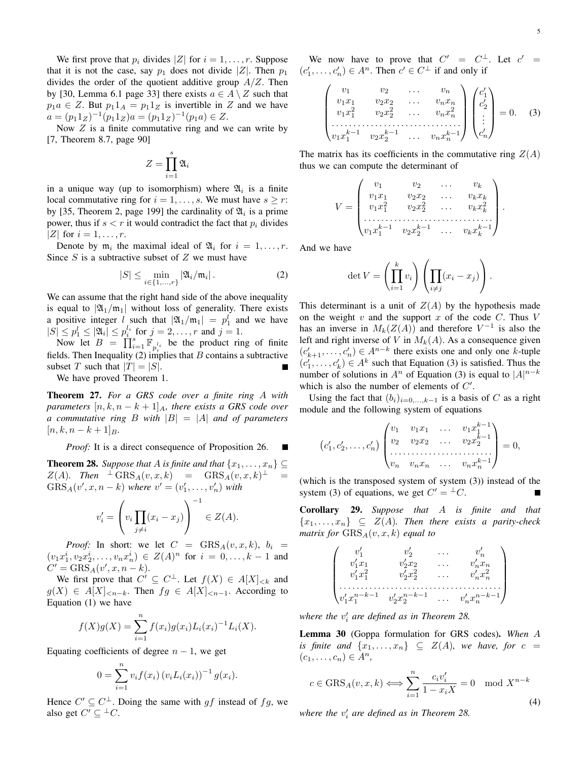.

We first prove that  $p_i$  divides |Z| for  $i = 1, \ldots, r$ . Suppose that it is not the case, say  $p_1$  does not divide |Z|. Then  $p_1$ divides the order of the quotient additive group  $A/Z$ . Then by [30, Lemma 6.1 page 33] there exists  $a \in A \setminus Z$  such that  $p_1a \in Z$ . But  $p_11_A = p_11_Z$  is invertible in Z and we have  $a = (p_1 1_Z)^{-1} (p_1 1_Z) a = (p_1 1_Z)^{-1} (p_1 a) \in Z.$ 

Now  $Z$  is a finite commutative ring and we can write by [7, Theorem 8.7, page 90]

$$
Z=\prod_{i=1}^s\mathfrak{A}_i
$$

in a unique way (up to isomorphism) where  $\mathfrak{A}_i$  is a finite local commutative ring for  $i = 1, \ldots, s$ . We must have  $s \geq r$ : by [35, Theorem 2, page 199] the cardinality of  $\mathfrak{A}_i$  is a prime power, thus if  $s < r$  it would contradict the fact that  $p_i$  divides |Z| for  $i = 1, \ldots, r$ .

Denote by  $m_i$  the maximal ideal of  $\mathfrak{A}_i$  for  $i = 1, \ldots, r$ . Since  $S$  is a subtractive subset of  $Z$  we must have

$$
|S| \le \min_{i \in \{1,\dots,r\}} |\mathfrak{A}_i/\mathfrak{m}_i| \,. \tag{2}
$$

We can assume that the right hand side of the above inequality is equal to  $|\mathfrak{A}_1/\mathfrak{m}_1|$  without loss of generality. There exists a positive integer l such that  $|\mathfrak{A}_1/\mathfrak{m}_1| = p_1^l$  and we have  $|S| \le p_1^l \le |\mathfrak{A}_i| \le p_i^{l_i}$  for  $j = 2, ..., r$  and  $j = 1$ .

Now let  $B = \prod_{i=1}^{s} \mathbb{F}_{p_i^{l_i}}$  be the product ring of finite fields. Then Inequality (2) implies that B contains a subtractive subset T such that  $|T| = |S|$ .

We have proved Theorem 1.

Theorem 27. *For a GRS code over a finite ring* A *with parameters*  $[n, k, n - k + 1]_A$ *, there exists a GRS code over a commutative ring* B *with* |B| = |A| *and of parameters*  $[n, k, n - k + 1]_B$ .

### *Proof:* It is a direct consequence of Proposition 26.

**Theorem 28.** *Suppose that* A *is finite and that*  $\{x_1, \ldots, x_n\} \subseteq$  $Z(A)$ *.* Then  $\perp$   $\text{GRS}_A(v, x, k)$  =  $\text{GRS}_A(v, x, k)$ <sup> $\perp$ </sup> =  $GRS_A(v', x, n-k)$  where  $v' = (v'_1, ..., v'_n)$  with

$$
v_i' = \left(v_i \prod_{j \neq i} (x_i - x_j)\right)^{-1} \in Z(A).
$$

*Proof:* In short: we let  $C = \text{GRS}_A(v, x, k)$ ,  $b_i =$  $(v_1x_1^i, v_2x_2^i, \ldots, v_nx_n^i) \in Z(A)^n$  for  $i = 0, \ldots, k-1$  and  $C' = \text{GRS}_A(v', x, n - k).$ 

We first prove that  $C' \subseteq C^{\perp}$ . Let  $f(X) \in A[X]_{< k}$  and  $g(X) \in A[X]_{\leq n-k}$ . Then  $fg \in A[X]_{\leq n-1}$ . According to Equation (1) we have

$$
f(X)g(X) = \sum_{i=1}^{n} f(x_i)g(x_i)L_i(x_i)^{-1}L_i(X).
$$

Equating coefficients of degree  $n - 1$ , we get

$$
0 = \sum_{i=1}^{n} v_i f(x_i) (v_i L_i(x_i))^{-1} g(x_i).
$$

Hence  $C' \subseteq C^{\perp}$ . Doing the same with gf instead of fg, we also get  $C' \subseteq {}^{\perp}C$ .

We now have to prove that  $C' = C^{\perp}$ . Let  $c' =$  $(c'_1, \ldots, c'_n) \in A^n$ . Then  $c' \in C^{\perp}$  if and only if

$$
\begin{pmatrix}\nv_1 & v_2 & \dots & v_n \\
v_1x_1 & v_2x_2 & \dots & v_nx_n \\
v_1x_1^2 & v_2x_2^2 & \dots & v_nx_n^2 \\
\vdots & \vdots & \ddots & \vdots \\
v_1x_1^{k-1} & v_2x_2^{k-1} & \dots & v_nx_n^{k-1}\n\end{pmatrix}\n\begin{pmatrix}\nc'_1 \\
c'_2 \\
\vdots \\
c'_n\n\end{pmatrix} = 0.
$$
\n(3)

The matrix has its coefficients in the commutative ring  $Z(A)$ thus we can compute the determinant of

$$
V = \begin{pmatrix} v_1 & v_2 & \dots & v_k \\ v_1x_1 & v_2x_2 & \dots & v_kx_k \\ v_1x_1^2 & v_2x_2^2 & \dots & v_kx_k^2 \\ \dots & \dots & \dots & \dots & \dots \\ v_1x_1^{k-1} & v_2x_2^{k-1} & \dots & v_kx_k^{k-1} \end{pmatrix}
$$

And we have

$$
\det V = \left(\prod_{i=1}^k v_i\right) \left(\prod_{i \neq j} (x_i - x_j)\right).
$$

This determinant is a unit of  $Z(A)$  by the hypothesis made on the weight  $v$  and the support  $x$  of the code  $C$ . Thus  $V$ has an inverse in  $M_k(Z(A))$  and therefore  $V^{-1}$  is also the left and right inverse of V in  $M_k(A)$ . As a consequence given  $(c'_{k+1}, \ldots, c'_{n}) \in A^{n-k}$  there exists one and only one k-tuple  $(c'_1, \ldots, c'_k) \in A^k$  such that Equation (3) is satisfied. Thus the number of solutions in  $A^n$  of Equation (3) is equal to  $|A|^{n-k}$ which is also the number of elements of  $C'$ .

Using the fact that  $(b_i)_{i=0,\dots,k-1}$  is a basis of C as a right module and the following system of equations

$$
(c'_1, c'_2, \dots, c'_n) \begin{pmatrix} v_1 & v_1x_1 & \dots & v_1x_1^{k-1} \\ v_2 & v_2x_2 & \dots & v_2x_2^{k-1} \\ \dots & \dots & \dots & \dots \\ v_n & v_nx_n & \dots & v_nx_n^{k-1} \end{pmatrix} = 0,
$$

(which is the transposed system of system (3)) instead of the system (3) of equations, we get  $C' = {}^{\perp}C$ .

Corollary 29. *Suppose that* A *is finite and that*  ${x_1, \ldots, x_n} \subseteq Z(A)$ *. Then there exists a parity-check*  $matrix for  $GRS_A(v, x, k)$  equal to$ 

$$
\begin{pmatrix} v'_1 & v'_2 & \ldots & v'_n \\ v'_1x_1 & v'_2x_2 & \ldots & v'_nx_n \\ v'_1x_1^2 & v'_2x_2^2 & \ldots & v'_nx_n^2 \\ \ldots & \ldots & \ldots & \ldots & \ldots & \ldots \\ v'_1x_1^{n-k-1} & v'_2x_2^{n-k-1} & \ldots & v'_nx_n^{n-k-1} \end{pmatrix}
$$

where the  $v_i'$  are defined as in Theorem 28.

Lemma 30 (Goppa formulation for GRS codes). *When* A *is finite and*  $\{x_1, \ldots, x_n\} \subseteq Z(A)$ *, we have, for*  $c =$  $(c_1, \ldots, c_n) \in A^n$ ,

$$
c \in \text{GRS}_A(v, x, k) \Longleftrightarrow \sum_{i=1}^n \frac{c_i v_i'}{1 - x_i X} = 0 \mod X^{n-k}
$$
\n(4)

where the  $v_i'$  are defined as in Theorem 28.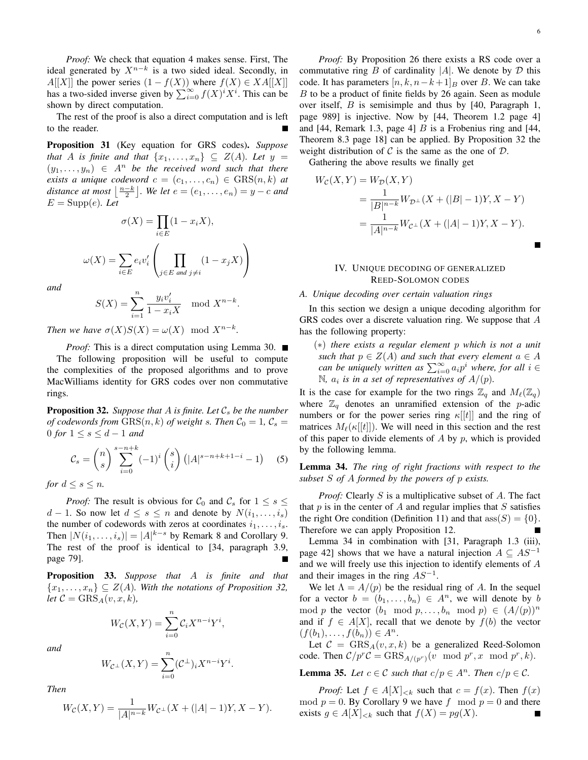*Proof:* We check that equation 4 makes sense. First, The ideal generated by  $X^{n-k}$  is a two sided ideal. Secondly, in  $A[[X]]$  the power series  $(1 - f(X))$  where  $f(X) \in XA[[X]]$ has a two-sided inverse given by  $\sum_{i=0}^{\infty} f(X)^i X^i$ . This can be shown by direct computation.

The rest of the proof is also a direct computation and is left to the reader.

Proposition 31 (Key equation for GRS codes). *Suppose that* A *is finite and that*  $\{x_1, \ldots, x_n\} \subseteq Z(A)$ *. Let*  $y =$  $(y_1, \ldots, y_n) \in A^n$  *be the received word such that there exists a unique codeword*  $c = (c_1, \ldots, c_n) \in \text{GRS}(n, k)$  *at* distance at most  $\left\lfloor \frac{n-k}{2} \right\rfloor$ . We let  $e = (e_1, \ldots, e_n) = y - c$  and  $E = \text{Supp}(e)$ . Let

$$
\sigma(X) = \prod_{i \in E} (1 - x_i X),
$$

$$
\omega(X) = \sum_{i \in E} e_i v_i' \left( \prod_{j \in E \text{ and } j \neq i} (1 - x_j X) \right)
$$

*and*

$$
S(X) = \sum_{i=1}^{n} \frac{y_i v_i'}{1 - x_i X} \mod X^{n-k}.
$$

*Then we have*  $\sigma(X)S(X) = \omega(X) \mod X^{n-k}$ *.* 

*Proof:* This is a direct computation using Lemma 30. ■ The following proposition will be useful to compute the complexities of the proposed algorithms and to prove MacWilliams identity for GRS codes over non commutative rings.

**Proposition 32.** *Suppose that*  $A$  *is finite. Let*  $C_s$  *be the number of codewords from*  $GRS(n, k)$  *of weight s. Then*  $C_0 = 1$ ,  $C_s =$ 0 *for*  $1 \leq s \leq d-1$  *and* 

$$
C_s = {n \choose s} \sum_{i=0}^{s-n+k} (-1)^i {s \choose i} (|A|^{s-n+k+1-i} - 1) \quad (5)
$$

*for*  $d \leq s \leq n$ *.* 

*Proof:* The result is obvious for  $C_0$  and  $C_s$  for  $1 \leq s \leq$  $d-1$ . So now let  $d \leq s \leq n$  and denote by  $N(i_1, \ldots, i_s)$ the number of codewords with zeros at coordinates  $i_1, \ldots, i_s$ . Then  $|N(i_1, \ldots, i_s)| = |A|^{k-s}$  by Remark 8 and Corollary 9. The rest of the proof is identical to [34, paragraph 3.9, page 79].

Proposition 33. *Suppose that* A *is finite and that*  ${x_1, \ldots, x_n} \subseteq Z(A)$ *. With the notations of Proposition 32, let*  $C = GRS_A(v, x, k)$ ,

$$
W_{\mathcal{C}}(X,Y) = \sum_{i=0}^{n} \mathcal{C}_i X^{n-i} Y^i,
$$

*and*

$$
W_{\mathcal{C}^{\perp}}(X,Y) = \sum_{i=0}^{n} (\mathcal{C}^{\perp})_i X^{n-i} Y^i.
$$

*Then*

$$
W_{\mathcal{C}}(X,Y) = \frac{1}{|A|^{n-k}} W_{\mathcal{C}^{\perp}}(X + (|A| - 1)Y, X - Y).
$$

*Proof:* By Proposition 26 there exists a RS code over a commutative ring B of cardinality  $|A|$ . We denote by D this code. It has parameters  $[n, k, n-k+1]_B$  over B. We can take B to be a product of finite fields by 26 again. Seen as module over itself,  $B$  is semisimple and thus by [40, Paragraph 1, page 989] is injective. Now by [44, Theorem 1.2 page 4] and [44, Remark 1.3, page 4]  $B$  is a Frobenius ring and [44, Theorem 8.3 page 18] can be applied. By Proposition 32 the weight distribution of  $\mathcal C$  is the same as the one of  $\mathcal D$ .

Gathering the above results we finally get

$$
W_c(X, Y) = W_{\mathcal{D}}(X, Y)
$$
  
= 
$$
\frac{1}{|B|^{n-k}} W_{\mathcal{D}^{\perp}}(X + (|B| - 1)Y, X - Y)
$$
  
= 
$$
\frac{1}{|A|^{n-k}} W_{c^{\perp}}(X + (|A| - 1)Y, X - Y).
$$

## IV. UNIQUE DECODING OF GENERALIZED REED-SOLOMON CODES

## *A. Unique decoding over certain valuation rings*

In this section we design a unique decoding algorithm for GRS codes over a discrete valuation ring. We suppose that A has the following property:

(∗) *there exists a regular element* p *which is not a unit such that*  $p \in Z(A)$  *and such that every element*  $a \in A$ *can be uniquely written as*  $\sum_{i=0}^{\infty} a_i p^i$  *where, for all*  $i \in$  $\mathbb{N}$ ,  $a_i$  is in a set of representatives of  $A/(p)$ .

It is the case for example for the two rings  $\mathbb{Z}_q$  and  $M_\ell(\mathbb{Z}_q)$ where  $\mathbb{Z}_q$  denotes an unramified extension of the *p*-adic numbers or for the power series ring  $\kappa[[t]]$  and the ring of matrices  $M_{\ell}(\kappa[[t]])$ . We will need in this section and the rest of this paper to divide elements of  $A$  by  $p$ , which is provided by the following lemma.

Lemma 34. *The ring of right fractions with respect to the subset* S *of* A *formed by the powers of* p *exists.*

*Proof:* Clearly S is a multiplicative subset of A. The fact that  $p$  is in the center of  $A$  and regular implies that  $S$  satisfies the right Ore condition (Definition 11) and that  $ass(S) = \{0\}.$ Therefore we can apply Proposition 12.

Lemma 34 in combination with [31, Paragraph 1.3 (iii), page 42] shows that we have a natural injection  $A \subseteq AS^{-1}$ and we will freely use this injection to identify elements of A and their images in the ring  $AS^{-1}$ .

We let  $\Lambda = A/(p)$  be the residual ring of A. In the sequel for a vector  $b = (b_1, \ldots, b_n) \in A^n$ , we will denote by b mod p the vector  $(b_1 \mod p, \ldots, b_n \mod p) \in (A/(p))^n$ and if  $f \in A[X]$ , recall that we denote by  $f(b)$  the vector  $(f(b_1), \ldots, f(b_n)) \in A^n$ .

Let  $C = GRS<sub>A</sub>(v, x, k)$  be a generalized Reed-Solomon code. Then  $C/p^rC = \text{GRS}_{A/(p^r)}(v \mod p^r, x \mod p^r, k).$ 

**Lemma 35.** Let  $c \in \mathcal{C}$  such that  $c/p \in A^n$ . Then  $c/p \in \mathcal{C}$ .

*Proof:* Let  $f \in A[X]_{< k}$  such that  $c = f(x)$ . Then  $f(x)$ mod  $p = 0$ . By Corollary 9 we have f mod  $p = 0$  and there exists  $g \in A[X]_{\leq k}$  such that  $f(X) = pg(X)$ .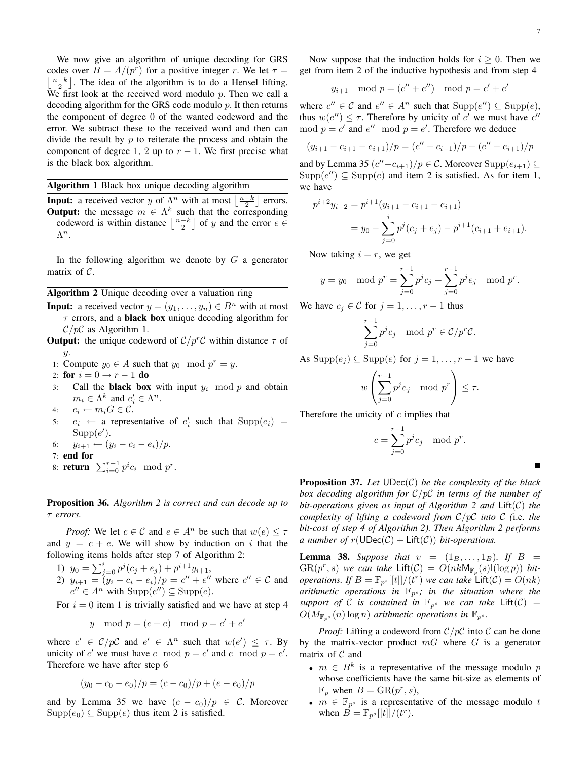7

We now give an algorithm of unique decoding for GRS codes over  $B = A/(p^r)$  for a positive integer r. We let  $\tau =$  $\lfloor \frac{n-k}{2} \rfloor$ . The idea of the algorithm is to do a Hensel lifting. We first look at the received word modulo  $p$ . Then we call a decoding algorithm for the GRS code modulo p. It then returns the component of degree 0 of the wanted codeword and the error. We subtract these to the received word and then can divide the result by  $p$  to reiterate the process and obtain the component of degree 1, 2 up to  $r - 1$ . We first precise what is the black box algorithm.

Algorithm 1 Black box unique decoding algorithm

**Input:** a received vector y of  $\Lambda^n$  with at most  $\left\lfloor \frac{n-k}{2} \right\rfloor$  errors. **Output:** the message  $m \in \Lambda^k$  such that the corresponding codeword is within distance  $\left\lfloor \frac{n-k}{2} \right\rfloor$  of y and the error  $e \in$  $\Lambda^n$ .

In the following algorithm we denote by  $G$  a generator matrix of  $C$ .

Algorithm 2 Unique decoding over a valuation ring

**Input:** a received vector  $y = (y_1, \ldots, y_n) \in B^n$  with at most  $\tau$  errors, and a **black box** unique decoding algorithm for  $\mathcal{C}/p\mathcal{C}$  as Algorithm 1.

- **Output:** the unique codeword of  $C/p^rC$  within distance  $\tau$  of  $\hat{y}$ .
- 1: Compute  $y_0 \in A$  such that  $y_0 \mod p^r = y$ .
- 2: for  $i = 0 \rightarrow r 1$  do
- 3: Call the **black box** with input  $y_i \mod p$  and obtain  $m_i \in \Lambda^k$  and  $e'_i \in \Lambda^n$ .
- 4:  $c_i \leftarrow m_i G \in \mathcal{C}$ .
- 5:  $e_i \leftarrow$  a representative of  $e'_i$  such that  $\text{Supp}(e_i)$  =  $\text{Supp}(e').$
- 6:  $y_{i+1} \leftarrow (y_i c_i e_i)/p$ . 7: end for
- 8: **return**  $\sum_{i=0}^{r-1} p^i c_i \mod p^r$ .

Proposition 36. *Algorithm 2 is correct and can decode up to* τ *errors.*

*Proof:* We let  $c \in \mathcal{C}$  and  $e \in A^n$  be such that  $w(e) \leq \tau$ and  $y = c + e$ . We will show by induction on i that the following items holds after step 7 of Algorithm 2:

1)  $y_0 = \sum_{j=0}^i p^j (c_j + e_j) + p^{i+1} y_{i+1},$ 2)  $y_{i+1} = (y_i - c_i - e_i)/p = c'' + e''$  where  $c'' \in C$  and  $e'' \in A^n$  with  $\text{Supp}(e'') \subseteq \text{Supp}(e)$ .

For  $i = 0$  item 1 is trivially satisfied and we have at step 4

$$
y \mod p = (c+e) \mod p = c' + e'
$$

where  $c' \in C/p\mathcal{C}$  and  $e' \in \Lambda^n$  such that  $w(e') \leq \tau$ . By unicity of c' we must have c mod  $p = c'$  and e mod  $p = e'$ . Therefore we have after step 6

$$
(y_0 - c_0 - e_0)/p = (c - c_0)/p + (e - e_0)/p
$$

and by Lemma 35 we have  $(c - c_0)/p \in C$ . Moreover  $\text{Supp}(e_0) \subseteq \text{Supp}(e)$  thus item 2 is satisfied.

Now suppose that the induction holds for  $i \geq 0$ . Then we get from item 2 of the inductive hypothesis and from step 4

$$
y_{i+1} \mod p = (c'' + e'') \mod p = c' + e'
$$

where  $c'' \in \mathcal{C}$  and  $e'' \in A^n$  such that  $\text{Supp}(e'') \subseteq \text{Supp}(e)$ , thus  $w(e'') \leq \tau$ . Therefore by unicity of c' we must have c'' mod  $p = c'$  and  $e''$  mod  $p = e'$ . Therefore we deduce

$$
(y_{i+1} - c_{i+1} - e_{i+1})/p = (c'' - c_{i+1})/p + (e'' - e_{i+1})/p
$$

and by Lemma 35  $(c''-c_{i+1})/p \in \mathcal{C}$ . Moreover  $\text{Supp}(e_{i+1}) \subseteq$  $\text{Supp}(e'') \subseteq \text{Supp}(e)$  and item 2 is satisfied. As for item 1, we have

$$
p^{i+2}y_{i+2} = p^{i+1}(y_{i+1} - c_{i+1} - e_{i+1})
$$
  
=  $y_0 - \sum_{j=0}^{i} p^j(c_j + e_j) - p^{i+1}(c_{i+1} + e_{i+1}).$ 

Now taking  $i = r$ , we get

$$
y = y_0 \mod p^r = \sum_{j=0}^{r-1} p^j c_j + \sum_{j=0}^{r-1} p^j e_j \mod p^r.
$$

We have  $c_j \in \mathcal{C}$  for  $j = 1, \ldots, r - 1$  thus

$$
\sum_{j=0}^{r-1} p^j c_j \mod p^r \in \mathcal{C}/p^r \mathcal{C}.
$$

As  $\text{Supp}(e_i) \subseteq \text{Supp}(e)$  for  $j = 1, \ldots, r-1$  we have

$$
w\left(\sum_{j=0}^{r-1} p^j e_j \mod p^r\right) \le \tau.
$$

Therefore the unicity of  $c$  implies that

$$
c = \sum_{j=0}^{r-1} p^j c_j \mod p^r.
$$

Proposition 37. *Let* UDec(C) *be the complexity of the black box decoding algorithm for* C/pC *in terms of the number of bit-operations given as input of Algorithm 2 and* Lift(C) *the complexity of lifting a codeword from* C/pC *into* C *(*i.e. *the bit-cost of step 4 of Algorithm 2). Then Algorithm 2 performs a number of*  $r(\text{UDec}(\mathcal{C}) + \text{Lift}(\mathcal{C}))$  *bit-operations.* 

**Lemma 38.** Suppose that  $v = (1_B, \ldots, 1_B)$ . If  $B =$  $GR(p^r, s)$  *we can take*  $Lift(\mathcal{C}) = O(nkM_{\mathbb{F}_p}(s)I(\log p))$  *bitoperations. If*  $B = \mathbb{F}_{p^{s}}[[t]]/(t^r)$  *we can take*  $\overline{\text{Lift}}(\mathcal{C}) = O(nk)$ *arithmetic operations in*  $\mathbb{F}_{p^s}$ *; in the situation where the support of* C *is contained in*  $\mathbb{F}_{p^s}$  *we can take* Lift(C) =  $O(M_{\mathbb{F}_{p^s}}(n) \log n)$  *arithmetic operations in*  $\mathbb{F}_{p^s}$ *.* 

*Proof:* Lifting a codeword from  $C/pC$  into C can be done by the matrix-vector product  $mG$  where G is a generator matrix of  $C$  and

- $m \in B^k$  is a representative of the message modulo p whose coefficients have the same bit-size as elements of  $\mathbb{F}_p$  when  $B = \text{GR}(p^r, s)$ ,
- $m \in \mathbb{F}_{p^s}$  is a representative of the message modulo t when  $B = \mathbb{F}_{p^{s}}[[t]]/(t^{r}).$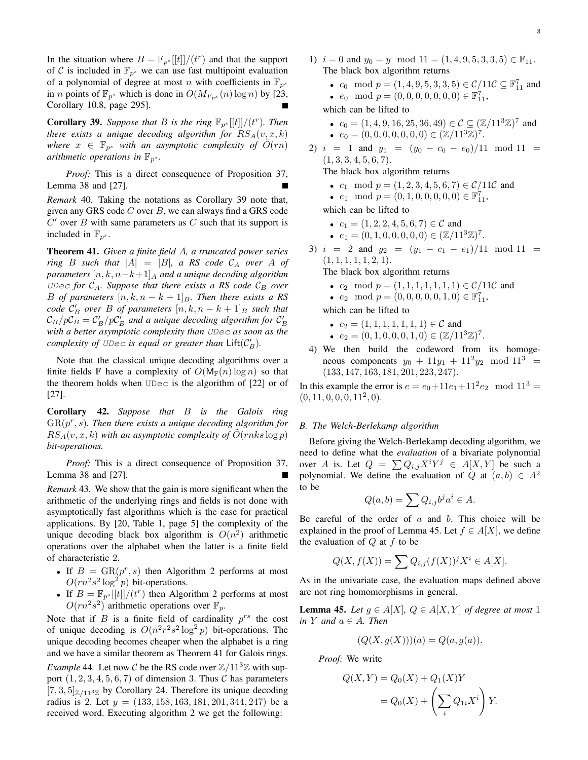In the situation where  $B = \mathbb{F}_{p^{s}}[[t]]/ (t^{r})$  and that the support of C is included in  $\mathbb{F}_{p^s}$  we can use fast multipoint evaluation of a polynomial of degree at most n with coefficients in  $\mathbb{F}_{p^s}$ in *n* points of  $\mathbb{F}_{p^s}$  which is done in  $O(M_{F_{p^s}}(n) \log n)$  by [23, Corollary 10.8, page 295].

**Corollary 39.** Suppose that B is the ring  $\mathbb{F}_{p^s}[[t]]/(t^r)$ . Then *there exists a unique decoding algorithm for*  $RS_A(v, x, k)$ *where*  $x \in \mathbb{F}_{p^s}$  *with an asymptotic complexity of*  $\tilde{O}(rn)$ *arithmetic operations in*  $\mathbb{F}_{p^s}$ *.* 

*Proof:* This is a direct consequence of Proposition 37, Lemma 38 and [27].

*Remark* 40*.* Taking the notations as Corollary 39 note that, given any GRS code  $C$  over  $B$ , we can always find a GRS code  $C'$  over  $B$  with same parameters as  $C$  such that its support is included in  $\mathbb{F}_{p^s}$ .

Theorem 41. *Given a finite field* A*, a truncated power series ring* B *such that*  $|A| = |B|$ *, a RS code*  $C_A$  *over* A *of parameters*  $[n, k, n-k+1]_A$  *and a unique decoding algorithm* UDec for  $C_A$ . Suppose that there exists a RS code  $C_B$  over *B of parameters*  $[n, k, n - k + 1]$ *B. Then there exists a RS code*  $\mathcal{C}'_B$  *over* B *of parameters*  $[n, k, n - k + 1]_B$  *such that*  $\mathcal{C}_B/p\overline{\mathcal{C}_B}=\mathcal{C}_B'/p\mathcal{C}_B'$  and a unique decoding algorithm for  $\mathcal{C}_B'$ *with a better asymptotic complexity than* UDec *as soon as the complexity of UDec is equal or greater than*  $\text{Lift}(\mathcal{C}'_B)$ *.* 

Note that the classical unique decoding algorithms over a finite fields F have a complexity of  $O(M_F(n) \log n)$  so that the theorem holds when UDec is the algorithm of [22] or of [27].

Corollary 42. *Suppose that* B *is the Galois ring*  $GR(p<sup>r</sup>, s)$ . Then there exists a unique decoding algorithm for  $RS_A(v, x, k)$  *with an asymptotic complexity of*  $\tilde{O}(r n k s \log p)$ *bit-operations.*

*Proof:* This is a direct consequence of Proposition 37, Lemma 38 and [27].

*Remark* 43*.* We show that the gain is more significant when the arithmetic of the underlying rings and fields is not done with asymptotically fast algorithms which is the case for practical applications. By [20, Table 1, page 5] the complexity of the unique decoding black box algorithm is  $O(n^2)$  arithmetic operations over the alphabet when the latter is a finite field of characteristic 2.

- If  $B = \text{GR}(p^r, s)$  then Algorithm 2 performs at most  $O(rn^2s^2 \log^2 p)$  bit-operations.
- If  $B = \mathbb{F}_{p^s}[[t]]/(t^r)$  then Algorithm 2 performs at most  $O(rn^2s^2)$  arithmetic operations over  $\mathbb{F}_p$ .

Note that if  $B$  is a finite field of cardinality  $p^{rs}$  the cost of unique decoding is  $O(n^2r^2s^2 \log^2 p)$  bit-operations. The unique decoding becomes cheaper when the alphabet is a ring and we have a similar theorem as Theorem 41 for Galois rings.

*Example* 44. Let now C be the RS code over  $\mathbb{Z}/11^3\mathbb{Z}$  with support  $(1, 2, 3, 4, 5, 6, 7)$  of dimension 3. Thus C has parameters  $[7, 3, 5]_{\mathbb{Z}/11^3\mathbb{Z}}$  by Corollary 24. Therefore its unique decoding radius is 2. Let  $y = (133, 158, 163, 181, 201, 344, 247)$  be a received word. Executing algorithm 2 we get the following:

- 1)  $i = 0$  and  $y_0 = y \mod 11 = (1, 4, 9, 5, 3, 3, 5) \in \mathbb{F}_{11}$ . The black box algorithm returns
	- $c_0 \mod p = (1, 4, 9, 5, 3, 3, 5) \in \mathcal{C}/11\mathcal{C} \subseteq \mathbb{F}_{11}^7$  and •  $e_0 \mod p = (0, 0, 0, 0, 0, 0, 0) \in \mathbb{F}_{11}^7$

which can be lifted to

- $c_0 = (1, 4, 9, 16, 25, 36, 49) \in \mathcal{C} \subseteq (\mathbb{Z}/11^3\mathbb{Z})^7$  and •  $e_0 = (0, 0, 0, 0, 0, 0, 0) \in (\mathbb{Z}/11^3 \mathbb{Z})^7$ .
- 2)  $i = 1$  and  $y_1 = (y_0 c_0 e_0)/11 \mod 11 =$  $(1, 3, 3, 4, 5, 6, 7).$

The black box algorithm returns

- $c_1 \mod p = (1, 2, 3, 4, 5, 6, 7) \in \mathcal{C}/11\mathcal{C}$  and
- $e_1 \mod p = (0, 1, 0, 0, 0, 0, 0) \in \mathbb{F}_{11}^7$

which can be lifted to

- $c_1 = (1, 2, 2, 4, 5, 6, 7) \in \mathcal{C}$  and
- $e_1 = (0, 1, 0, 0, 0, 0, 0) \in (\mathbb{Z}/11^3 \mathbb{Z})^7$ .
- 3)  $i = 2$  and  $y_2 = (y_1 c_1 e_1)/11 \mod 11 =$  $(1, 1, 1, 1, 1, 2, 1).$

The black box algorithm returns

- $c_2 \mod p = (1, 1, 1, 1, 1, 1, 1) \in \mathcal{C}/11\mathcal{C}$  and
- $e_2 \mod p = (0, 0, 0, 0, 0, 1, 0) \in \mathbb{F}_{11}^7$ ,

which can be lifted to

- $c_2 = (1, 1, 1, 1, 1, 1, 1) \in \mathcal{C}$  and
- $e_2 = (0, 1, 0, 0, 0, 1, 0) \in (\mathbb{Z}/11^3 \mathbb{Z})^7$ .
- 4) We then build the codeword from its homogeneous components  $y_0 + 11y_1 + 11^2y_2 \mod 11^3 =$ (133, 147, 163, 181, 201, 223, 247).

In this example the error is  $e = e_0 + 11e_1 + 11^2e_2$  mod  $11^3 =$  $(0, 11, 0, 0, 0, 11<sup>2</sup>, 0).$ 

## *B. The Welch-Berlekamp algorithm*

Before giving the Welch-Berlekamp decoding algorithm, we need to define what the *evaluation* of a bivariate polynomial over A is. Let  $Q = \sum Q_{i,j} X^i Y^j \in A[X, Y]$  be such a polynomial. We define the evaluation of Q at  $(a, b) \in A^2$ to be

$$
Q(a,b) = \sum Q_{i,j} b^j a^i \in A.
$$

Be careful of the order of  $a$  and  $b$ . This choice will be explained in the proof of Lemma 45. Let  $f \in A[X]$ , we define the evaluation of  $Q$  at  $f$  to be

$$
Q(X, f(X)) = \sum Q_{i,j}(f(X))^{j} X^{i} \in A[X].
$$

As in the univariate case, the evaluation maps defined above are not ring homomorphisms in general.

**Lemma 45.** *Let*  $g \in A[X], Q \in A[X, Y]$  *of degree at most* 1 *in Y and*  $a \in A$ *. Then* 

$$
(Q(X, g(X)))(a) = Q(a, g(a)).
$$

*Proof:* We write

$$
Q(X,Y) = Q_0(X) + Q_1(X)Y
$$

$$
= Q_0(X) + \left(\sum_i Q_{1i}X^i\right)Y.
$$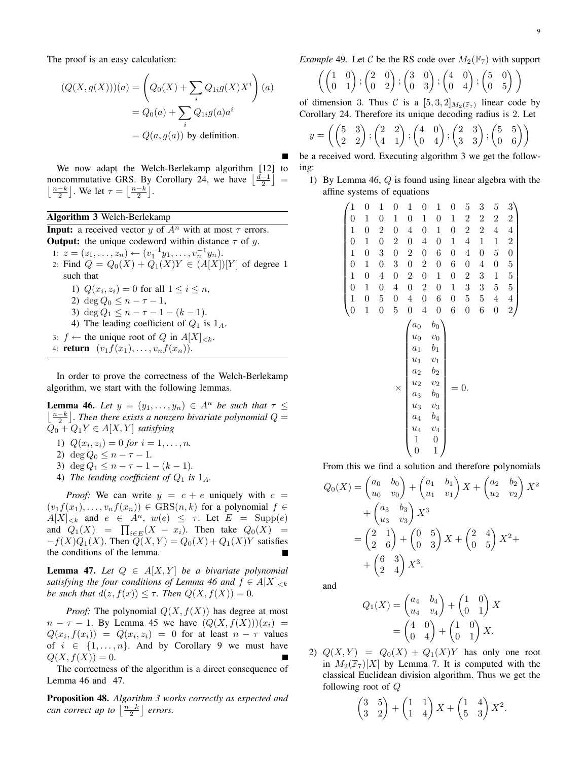The proof is an easy calculation:

$$
(Q(X, g(X)))(a) = \left(Q_0(X) + \sum_i Q_{1i}g(X)X^i\right)(a)
$$

$$
= Q_0(a) + \sum_i Q_{1i}g(a)a^i
$$

$$
= Q(a, g(a)) \text{ by definition.}
$$

We now adapt the Welch-Berlekamp algorithm [12] to noncommutative GRS. By Corollary 24, we have  $\left\lfloor \frac{d-1}{2} \right\rfloor$  =  $\lfloor \frac{n-k}{2} \rfloor$ . We let  $\tau = \lfloor \frac{n-k}{2} \rfloor$ .

## Algorithm 3 Welch-Berlekamp

**Input:** a received vector y of  $A^n$  with at most  $\tau$  errors. **Output:** the unique codeword within distance  $\tau$  of y. 1:  $z = (z_1, \ldots, z_n) \leftarrow (v_1^{-1}y_1, \ldots, v_n^{-1}y_n).$ 2: Find  $Q = Q_0(X) + Q_1(X)Y \in (A[X])[Y]$  of degree 1 such that 1)  $Q(x_i, z_i) = 0$  for all  $1 \leq i \leq n$ , 2) deg  $Q_0 \leq n - \tau - 1$ , 3) deg  $Q_1 \leq n - \tau - 1 - (k - 1)$ . 4) The leading coefficient of  $Q_1$  is  $1_A$ . 3:  $f \leftarrow$  the unique root of Q in  $A[X]_{\leq k}$ . 4: **return**  $(v_1f(x_1), \ldots, v_nf(x_n))$ .

In order to prove the correctness of the Welch-Berlekamp algorithm, we start with the following lemmas.

**Lemma 46.** Let  $y = (y_1, \ldots, y_n) \in A^n$  be such that  $\tau \leq$  $\lfloor \frac{n-k}{2} \rfloor$ . Then there exists a nonzero bivariate polynomial  $Q =$  $Q_0 + Q_1 Y \in A[X, Y]$  *satisfying* 

- 1)  $Q(x_i, z_i) = 0$  *for*  $i = 1, ..., n$ .
- 2) deg  $Q_0 \leq n \tau 1$ .
- 3) deg  $Q_1 \leq n \tau 1 (k 1)$ .
- 4) *The leading coefficient of*  $Q_1$  *is*  $1_A$ *.*

*Proof:* We can write  $y = c + e$  uniquely with  $c =$  $(v_1f(x_1), \ldots, v_nf(x_n)) \in \text{GRS}(n, k)$  for a polynomial  $f \in$  $A[X]_{\leq k}$  and  $e \in A^n$ ,  $w(e) \leq \tau$ . Let  $E = \text{Supp}(e)$ and  $Q_1(X) = \prod_{i \in E} (X - x_i)$ . Then take  $Q_0(X) =$  $-f(X)Q_1(X)$ . Then  $\overline{Q}(X,Y) = Q_0(X) + Q_1(X)Y$  satisfies the conditions of the lemma. Е

**Lemma 47.** *Let*  $Q \in A[X, Y]$  *be a bivariate polynomial satisfying the four conditions of Lemma 46 and*  $f \in A[X]_{\leq k}$ *be such that*  $d(z, f(x)) \leq \tau$ . Then  $Q(X, f(X)) = 0$ .

*Proof:* The polynomial  $Q(X, f(X))$  has degree at most  $n - \tau - 1$ . By Lemma 45 we have  $(Q(X, f(X)))(x_i)$  =  $Q(x_i, f(x_i)) = Q(x_i, z_i) = 0$  for at least  $n - \tau$  values of  $i \in \{1, \ldots, n\}$ . And by Corollary 9 we must have  $Q(X, f(X)) = 0.$ 

The correctness of the algorithm is a direct consequence of Lemma 46 and 47.

Proposition 48. *Algorithm 3 works correctly as expected and can correct up to*  $\left\lfloor \frac{n-k}{2} \right\rfloor$  *errors.* 

*Example* 49. Let C be the RS code over  $M_2(\mathbb{F}_7)$  with support

$$
\left( \begin{pmatrix} 1 & 0 \\ 0 & 1 \end{pmatrix}; \begin{pmatrix} 2 & 0 \\ 0 & 2 \end{pmatrix}; \begin{pmatrix} 3 & 0 \\ 0 & 3 \end{pmatrix}; \begin{pmatrix} 4 & 0 \\ 0 & 4 \end{pmatrix}; \begin{pmatrix} 5 & 0 \\ 0 & 5 \end{pmatrix} \right)
$$

of dimension 3. Thus C is a  $[5,3,2]_{M_2(\mathbb{F}_7)}$  linear code by Corollary 24. Therefore its unique decoding radius is 2. Let

$$
y = \left( \begin{pmatrix} 5 & 3 \\ 2 & 2 \end{pmatrix}; \begin{pmatrix} 2 & 2 \\ 4 & 1 \end{pmatrix}; \begin{pmatrix} 4 & 0 \\ 0 & 4 \end{pmatrix}; \begin{pmatrix} 2 & 3 \\ 3 & 3 \end{pmatrix}; \begin{pmatrix} 5 & 5 \\ 0 & 6 \end{pmatrix} \right)
$$

be a received word. Executing algorithm 3 we get the following:

1) By Lemma 46,  $Q$  is found using linear algebra with the affine systems of equations

| $\mathbf{1}$                         | $\boldsymbol{0}$ | $\mathbf{1}$     | $\boldsymbol{0}$ | $\mathbf{1}$                                                            | $\boldsymbol{0}$        | $\mathbf{1}$                                                                                                                                                                                        | $\boldsymbol{0}$ | 5                | 3                | 5                | $\overline{3}$                               |  |
|--------------------------------------|------------------|------------------|------------------|-------------------------------------------------------------------------|-------------------------|-----------------------------------------------------------------------------------------------------------------------------------------------------------------------------------------------------|------------------|------------------|------------------|------------------|----------------------------------------------|--|
| $\boldsymbol{0}$                     | $\mathbf{1}$     | $\overline{0}$   | $\mathbf{1}$     | $\boldsymbol{0}$                                                        | $\mathbf{1}$            | $\boldsymbol{0}$                                                                                                                                                                                    | $\mathbf 1$      | $\overline{c}$   | $\overline{c}$   | $\overline{2}$   |                                              |  |
| $\begin{matrix}1\0\end{matrix}$      | $\boldsymbol{0}$ | $\overline{2}$   | $\boldsymbol{0}$ | $\overline{4}$                                                          | $\boldsymbol{0}$        | $\mathbf{1}$                                                                                                                                                                                        | $\overline{0}$   | $\overline{c}$   | $\overline{2}$   | $\overline{4}$   | $\frac{2}{4}$                                |  |
|                                      | $\mathbf{1}$     | $\boldsymbol{0}$ | $\overline{2}$   | $\boldsymbol{0}$                                                        | $\overline{4}$          | $\boldsymbol{0}$                                                                                                                                                                                    | $\mathbf{1}$     | $\overline{4}$   | $\mathbf{1}$     | $\mathbf{1}$     |                                              |  |
| $\mathbf{1}$                         | $\boldsymbol{0}$ | 3                | $\boldsymbol{0}$ | $\overline{\mathbf{c}}$                                                 | $\boldsymbol{0}$        | 6                                                                                                                                                                                                   | $\boldsymbol{0}$ | $\overline{4}$   | $\boldsymbol{0}$ | $\overline{5}$   |                                              |  |
| $\begin{matrix} 0 \\ 1 \end{matrix}$ | $\mathbf{1}$     | $\boldsymbol{0}$ | 3                | $\boldsymbol{0}$                                                        | $\overline{\mathbf{c}}$ | $\boldsymbol{0}$                                                                                                                                                                                    | 6                | $\boldsymbol{0}$ | $\overline{4}$   | $\boldsymbol{0}$ | $\begin{array}{c} 2 \ 0 \ 5 \ 5 \end{array}$ |  |
|                                      | $\boldsymbol{0}$ | $\overline{4}$   | $\boldsymbol{0}$ | $\overline{c}$                                                          | $\boldsymbol{0}$        | $\mathbf{1}$                                                                                                                                                                                        | $\overline{0}$   | $\overline{c}$   | 3                | $\mathbf{1}$     |                                              |  |
| $\overline{0}$                       | $\mathbf{1}$     | $\boldsymbol{0}$ | $\overline{4}$   | $\boldsymbol{0}$                                                        | $\overline{c}$          | $\boldsymbol{0}$                                                                                                                                                                                    | $\mathbf{1}$     | 3                | 3                | $\overline{5}$   | $\overline{5}$                               |  |
| $\begin{matrix}1\0\end{matrix}$      | $\boldsymbol{0}$ | 5                | $\boldsymbol{0}$ | $\overline{4}$                                                          | $\boldsymbol{0}$        | 6                                                                                                                                                                                                   | $\boldsymbol{0}$ | $\overline{5}$   | $\overline{5}$   | $\overline{4}$   |                                              |  |
|                                      | $\mathbf{1}$     | $\overline{0}$   | $\overline{5}$   | $\boldsymbol{0}$                                                        | $\overline{4}$          | $\boldsymbol{0}$                                                                                                                                                                                    | 6                | $\boldsymbol{0}$ | 6                | $\overline{0}$   | $\frac{4}{2}$                                |  |
|                                      |                  |                  | ×                | $a_0$<br>$u_0$<br>$a_1$<br>$u_1$<br>$a_2$ $a_3$ $a_3$ $a_4$ $a_4$ $1$ 0 |                         | $b_0$<br>$\begin{array}{c} v_0 \\ b_1 \end{array}$<br>$\frac{v_1}{b_2}$<br>$v_2$<br>$\displaystyle \begin{array}{c} b_0 \\ v_3 \\ b_4 \end{array}$<br>$v_4$<br>$\begin{matrix} 0 \\ 1 \end{matrix}$ |                  |                  |                  |                  |                                              |  |

From this we find a solution and therefore polynomials

$$
Q_0(X) = \begin{pmatrix} a_0 & b_0 \\ u_0 & v_0 \end{pmatrix} + \begin{pmatrix} a_1 & b_1 \\ u_1 & v_1 \end{pmatrix} X + \begin{pmatrix} a_2 & b_2 \\ u_2 & v_2 \end{pmatrix} X^2
$$
  
+ 
$$
\begin{pmatrix} a_3 & b_3 \\ u_3 & v_3 \end{pmatrix} X^3
$$
  
= 
$$
\begin{pmatrix} 2 & 1 \\ 2 & 6 \end{pmatrix} + \begin{pmatrix} 0 & 5 \\ 0 & 3 \end{pmatrix} X + \begin{pmatrix} 2 & 4 \\ 0 & 5 \end{pmatrix} X^2 +
$$
  
+ 
$$
\begin{pmatrix} 6 & 3 \\ 2 & 4 \end{pmatrix} X^3.
$$

and

$$
Q_1(X) = \begin{pmatrix} a_4 & b_4 \\ u_4 & v_4 \end{pmatrix} + \begin{pmatrix} 1 & 0 \\ 0 & 1 \end{pmatrix} X
$$

$$
= \begin{pmatrix} 4 & 0 \\ 0 & 4 \end{pmatrix} + \begin{pmatrix} 1 & 0 \\ 0 & 1 \end{pmatrix} X.
$$

2)  $Q(X,Y) = Q_0(X) + Q_1(X)Y$  has only one root in  $M_2(\mathbb{F}_7)[X]$  by Lemma 7. It is computed with the classical Euclidean division algorithm. Thus we get the following root of Q

$$
\begin{pmatrix} 3 & 5 \\ 3 & 2 \end{pmatrix} + \begin{pmatrix} 1 & 1 \\ 1 & 4 \end{pmatrix} X + \begin{pmatrix} 1 & 4 \\ 5 & 3 \end{pmatrix} X^2.
$$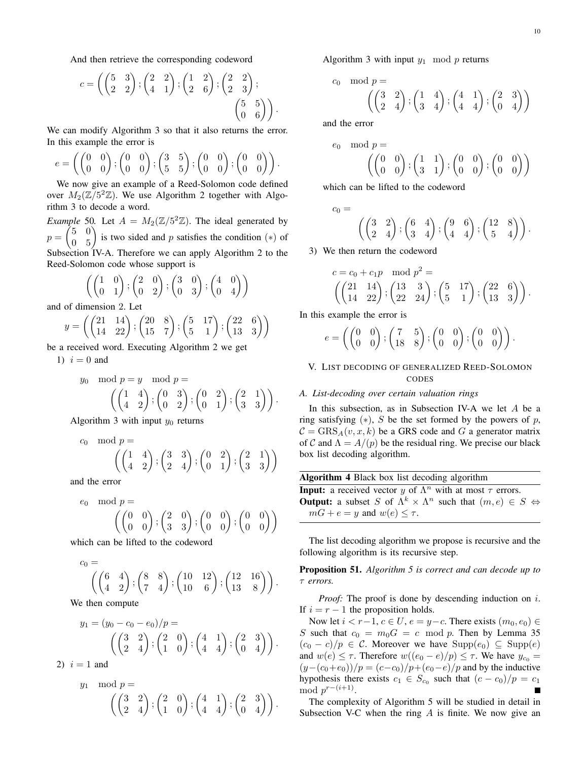And then retrieve the corresponding codeword

$$
c = \left( \begin{pmatrix} 5 & 3 \\ 2 & 2 \end{pmatrix}; \begin{pmatrix} 2 & 2 \\ 4 & 1 \end{pmatrix}; \begin{pmatrix} 1 & 2 \\ 2 & 6 \end{pmatrix}; \begin{pmatrix} 2 & 2 \\ 2 & 3 \end{pmatrix}; \begin{pmatrix} 5 & 5 \\ 0 & 6 \end{pmatrix} \right).
$$

We can modify Algorithm 3 so that it also returns the error. In this example the error is

$$
e = \left( \begin{pmatrix} 0 & 0 \\ 0 & 0 \end{pmatrix}; \begin{pmatrix} 0 & 0 \\ 0 & 0 \end{pmatrix}; \begin{pmatrix} 3 & 5 \\ 5 & 5 \end{pmatrix}; \begin{pmatrix} 0 & 0 \\ 0 & 0 \end{pmatrix}; \begin{pmatrix} 0 & 0 \\ 0 & 0 \end{pmatrix} \right).
$$

We now give an example of a Reed-Solomon code defined over  $M_2(\mathbb{Z}/5^2\mathbb{Z})$ . We use Algorithm 2 together with Algorithm 3 to decode a word.

*Example* 50. Let  $A = M_2(\mathbb{Z}/5^2\mathbb{Z})$ . The ideal generated by  $p =$  $\begin{pmatrix} 5 & 0 \\ 0 & 5 \end{pmatrix}$  is two sided and p satisfies the condition (\*) of Subsection IV-A. Therefore we can apply Algorithm 2 to the Reed-Solomon code whose support is

$$
\left(\begin{pmatrix} 1 & 0 \\ 0 & 1 \end{pmatrix}; \begin{pmatrix} 2 & 0 \\ 0 & 2 \end{pmatrix}; \begin{pmatrix} 3 & 0 \\ 0 & 3 \end{pmatrix}; \begin{pmatrix} 4 & 0 \\ 0 & 4 \end{pmatrix}\right)
$$

and of dimension 2. Let

$$
y = \left( \begin{pmatrix} 21 & 14 \\ 14 & 22 \end{pmatrix}; \begin{pmatrix} 20 & 8 \\ 15 & 7 \end{pmatrix}; \begin{pmatrix} 5 & 17 \\ 5 & 1 \end{pmatrix}; \begin{pmatrix} 22 & 6 \\ 13 & 3 \end{pmatrix} \right)
$$

be a received word. Executing Algorithm 2 we get 1)  $i = 0$  and

$$
y_0 \mod p = y \mod p =
$$
  

$$
\left( \begin{pmatrix} 1 & 4 \\ 4 & 2 \end{pmatrix}; \begin{pmatrix} 0 & 3 \\ 0 & 2 \end{pmatrix}; \begin{pmatrix} 0 & 2 \\ 0 & 1 \end{pmatrix}; \begin{pmatrix} 2 & 1 \\ 3 & 3 \end{pmatrix} \right).
$$

Algorithm 3 with input  $y_0$  returns

$$
c_0 \mod p = \left( \begin{pmatrix} 1 & 4 \\ 4 & 2 \end{pmatrix}; \begin{pmatrix} 3 & 3 \\ 2 & 4 \end{pmatrix}; \begin{pmatrix} 0 & 2 \\ 0 & 1 \end{pmatrix}; \begin{pmatrix} 2 & 1 \\ 3 & 3 \end{pmatrix} \right)
$$

and the error

$$
e_0 \mod p = \left( \begin{pmatrix} 0 & 0 \\ 0 & 0 \end{pmatrix}; \begin{pmatrix} 2 & 0 \\ 3 & 3 \end{pmatrix}; \begin{pmatrix} 0 & 0 \\ 0 & 0 \end{pmatrix}; \begin{pmatrix} 0 & 0 \\ 0 & 0 \end{pmatrix} \right)
$$

which can be lifted to the codeword

$$
c_0 = \left( \begin{pmatrix} 6 & 4 \\ 4 & 2 \end{pmatrix}; \begin{pmatrix} 8 & 8 \\ 7 & 4 \end{pmatrix}; \begin{pmatrix} 10 & 12 \\ 10 & 6 \end{pmatrix}; \begin{pmatrix} 12 & 16 \\ 13 & 8 \end{pmatrix} \right).
$$

We then compute

$$
y_1 = (y_0 - c_0 - e_0)/p =
$$
  
\n
$$
\left( \begin{pmatrix} 3 & 2 \\ 2 & 4 \end{pmatrix}; \begin{pmatrix} 2 & 0 \\ 1 & 0 \end{pmatrix}; \begin{pmatrix} 4 & 1 \\ 4 & 4 \end{pmatrix}; \begin{pmatrix} 2 & 3 \\ 0 & 4 \end{pmatrix} \right).
$$

2)  $i = 1$  and

$$
y_1 \mod p = \left( \begin{pmatrix} 3 & 2 \\ 2 & 4 \end{pmatrix}; \begin{pmatrix} 2 & 0 \\ 1 & 0 \end{pmatrix}; \begin{pmatrix} 4 & 1 \\ 4 & 4 \end{pmatrix}; \begin{pmatrix} 2 & 3 \\ 0 & 4 \end{pmatrix} \right).
$$

Algorithm 3 with input  $y_1 \mod p$  returns

$$
\text{mod } p = \left( \begin{pmatrix} 3 & 2 \\ 2 & 4 \end{pmatrix}; \begin{pmatrix} 1 & 4 \\ 3 & 4 \end{pmatrix}; \begin{pmatrix} 4 & 1 \\ 4 & 4 \end{pmatrix}; \begin{pmatrix} 2 & 3 \\ 0 & 4 \end{pmatrix} \right)
$$

and the error

 $c_0$ 

$$
e_0 \mod p = \left( \begin{pmatrix} 0 & 0 \\ 0 & 0 \end{pmatrix}; \begin{pmatrix} 1 & 1 \\ 3 & 1 \end{pmatrix}; \begin{pmatrix} 0 & 0 \\ 0 & 0 \end{pmatrix}; \begin{pmatrix} 0 & 0 \\ 0 & 0 \end{pmatrix} \right)
$$

which can be lifted to the codeword

$$
c_0 = \left( \begin{pmatrix} 3 & 2 \\ 2 & 4 \end{pmatrix}; \begin{pmatrix} 6 & 4 \\ 3 & 4 \end{pmatrix}; \begin{pmatrix} 9 & 6 \\ 4 & 4 \end{pmatrix}; \begin{pmatrix} 12 & 8 \\ 5 & 4 \end{pmatrix} \right).
$$

3) We then return the codeword

$$
c = c_0 + c_1 p \mod p^2 =
$$
  
\n
$$
\left( \begin{pmatrix} 21 & 14 \\ 14 & 22 \end{pmatrix}, \begin{pmatrix} 13 & 3 \\ 22 & 24 \end{pmatrix}, \begin{pmatrix} 5 & 17 \\ 5 & 1 \end{pmatrix}, \begin{pmatrix} 22 & 6 \\ 13 & 3 \end{pmatrix} \right).
$$

In this example the error is

$$
e = \left( \begin{pmatrix} 0 & 0 \\ 0 & 0 \end{pmatrix}; \begin{pmatrix} 7 & 5 \\ 18 & 8 \end{pmatrix}; \begin{pmatrix} 0 & 0 \\ 0 & 0 \end{pmatrix}; \begin{pmatrix} 0 & 0 \\ 0 & 0 \end{pmatrix} \right).
$$

## V. LIST DECODING OF GENERALIZED REED-SOLOMON CODES

## *A. List-decoding over certain valuation rings*

In this subsection, as in Subsection IV-A we let  $A$  be a ring satisfying  $(*), S$  be the set formed by the powers of p,  $C = GRS<sub>A</sub>(v, x, k)$  be a GRS code and G a generator matrix of C and  $\Lambda = A/(p)$  be the residual ring. We precise our black box list decoding algorithm.

| <b>Algorithm 4 Black box list decoding algorithm</b><br><b>Input:</b> a received vector y of $\Lambda^n$ with at most $\tau$ errors.<br><b>Output:</b> a subset S of $\Lambda^k \times \Lambda^n$ such that $(m, e) \in S \Leftrightarrow$<br>$mG + e = y$ and $w(e) \leq \tau$ . |  |  |  |  |  |
|-----------------------------------------------------------------------------------------------------------------------------------------------------------------------------------------------------------------------------------------------------------------------------------|--|--|--|--|--|
|                                                                                                                                                                                                                                                                                   |  |  |  |  |  |
|                                                                                                                                                                                                                                                                                   |  |  |  |  |  |

The list decoding algorithm we propose is recursive and the following algorithm is its recursive step.

Proposition 51. *Algorithm 5 is correct and can decode up to* τ *errors.*

*Proof:* The proof is done by descending induction on i. If  $i = r - 1$  the proposition holds.

Now let  $i < r-1$ ,  $c \in U$ ,  $e = y-c$ . There exists  $(m_0, e_0) \in$ S such that  $c_0 = m_0 G = c \mod p$ . Then by Lemma 35  $(c_0 - c)/p \in C$ . Moreover we have  $\text{Supp}(e_0) \subseteq \text{Supp}(e)$ and  $w(e) \leq \tau$ . Therefore  $w((e_0 - e)/p) \leq \tau$ . We have  $y_{c_0} =$  $(y-(c_0+e_0))/p = (c-c_0)/p+(e_0-e)/p$  and by the inductive hypothesis there exists  $c_1 \in S_{c_0}$  such that  $(c - c_0)/p = c_1$ mod  $p^{r-(i+1)}$ .

The complexity of Algorithm 5 will be studied in detail in Subsection V-C when the ring  $A$  is finite. We now give an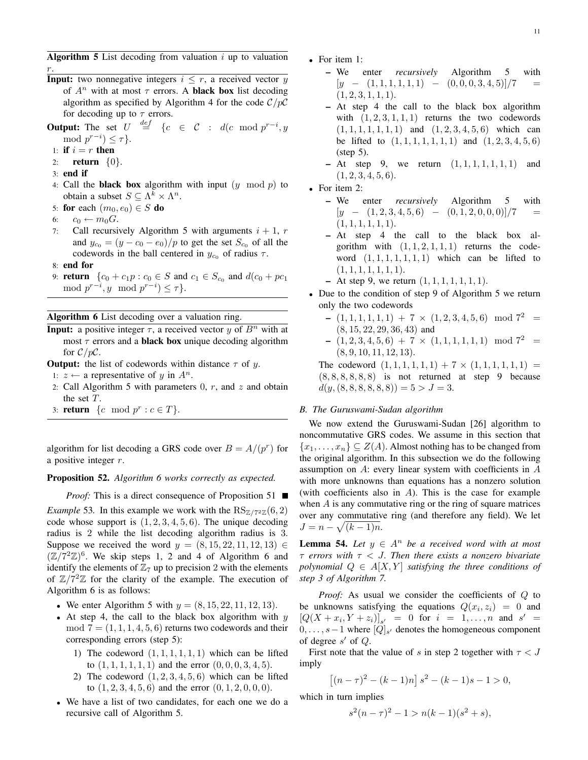Algorithm 5 List decoding from valuation  $i$  up to valuation r.

**Input:** two nonnegative integers  $i \leq r$ , a received vector y of  $A^n$  with at most  $\tau$  errors. A **black box** list decoding algorithm as specified by Algorithm 4 for the code  $C/pC$ for decoding up to  $\tau$  errors.

**Output:** The set  $U \stackrel{def}{=} \{c \in \mathcal{C} : d(c \mod p^{r-i}, y)\}$ mod  $p^{r-i}) \leq \tau$ .

- 1: if  $i = r$  then
- 2: **return**  $\{0\}$ .
- 3: end if
- 4: Call the **black box** algorithm with input  $(y \mod p)$  to obtain a subset  $S \subseteq \Lambda^k \times \Lambda^n$ .
- 5: for each  $(m_0, e_0) \in S$  do
- 6:  $c_0 \leftarrow m_0 G$ .
- 7: Call recursively Algorithm 5 with arguments  $i + 1$ , r and  $y_{c_0} = (y - c_0 - e_0)/p$  to get the set  $S_{c_0}$  of all the codewords in the ball centered in  $y_{c_0}$  of radius  $\tau$ .
- 8: end for
- 9: **return**  $\{c_0 + c_1p : c_0 \in S \text{ and } c_1 \in S_{c_0} \text{ and } d(c_0 + pc_1)\}$ mod  $p^{r-i}$ , y mod  $p^{r-i}$ )  $\leq \tau$ }.

Algorithm 6 List decoding over a valuation ring.

- **Input:** a positive integer  $\tau$ , a received vector y of  $B<sup>n</sup>$  with at most  $\tau$  errors and a **black box** unique decoding algorithm for  $C/pC$ .
- **Output:** the list of codewords within distance  $\tau$  of y.
- 1: *z* ← a representative of *y* in  $A^n$ .
- 2: Call Algorithm 5 with parameters  $0, r$ , and  $z$  and obtain the set T.
- 3: **return**  $\{c \mod p^r : c \in T\}.$

algorithm for list decoding a GRS code over  $B = A/(p<sup>r</sup>)$  for a positive integer  $r$ .

### Proposition 52. *Algorithm 6 works correctly as expected.*

*Proof:* This is a direct consequence of Proposition 51 ■ *Example* 53. In this example we work with the  $RS_{\mathbb{Z}/7^2\mathbb{Z}}(6,2)$ code whose support is  $(1, 2, 3, 4, 5, 6)$ . The unique decoding radius is 2 while the list decoding algorithm radius is 3. Suppose we received the word  $y = (8, 15, 22, 11, 12, 13) \in$  $(\mathbb{Z}/7^2\mathbb{Z})^6$ . We skip steps 1, 2 and 4 of Algorithm 6 and identify the elements of  $\mathbb{Z}_7$  up to precision 2 with the elements of  $\mathbb{Z}/7^2\mathbb{Z}$  for the clarity of the example. The execution of Algorithm 6 is as follows:

- We enter Algorithm 5 with  $y = (8, 15, 22, 11, 12, 13)$ .
- At step 4, the call to the black box algorithm with  $y$  $mod 7 = (1, 1, 1, 4, 5, 6)$  returns two codewords and their corresponding errors (step 5):
	- 1) The codeword  $(1, 1, 1, 1, 1, 1)$  which can be lifted to  $(1, 1, 1, 1, 1, 1)$  and the error  $(0, 0, 0, 3, 4, 5)$ .
	- 2) The codeword  $(1, 2, 3, 4, 5, 6)$  which can be lifted to  $(1, 2, 3, 4, 5, 6)$  and the error  $(0, 1, 2, 0, 0, 0)$ .
- We have a list of two candidates, for each one we do a recursive call of Algorithm 5.
- For item 1:
	- We enter *recursively* Algorithm 5 with  $[y - (1, 1, 1, 1, 1, 1) - (0, 0, 0, 3, 4, 5)]/7 =$  $(1, 2, 3, 1, 1, 1).$
	- At step 4 the call to the black box algorithm with  $(1, 2, 3, 1, 1, 1)$  returns the two codewords  $(1, 1, 1, 1, 1, 1, 1)$  and  $(1, 2, 3, 4, 5, 6)$  which can be lifted to  $(1, 1, 1, 1, 1, 1, 1)$  and  $(1, 2, 3, 4, 5, 6)$ (step 5).
	- At step 9, we return  $(1, 1, 1, 1, 1, 1, 1)$  and  $(1, 2, 3, 4, 5, 6).$
- For item 2:
	- We enter *recursively* Algorithm 5 with  $[y - (1, 2, 3, 4, 5, 6) - (0, 1, 2, 0, 0, 0)]/7$  $(1, 1, 1, 1, 1, 1).$
	- At step 4 the call to the black box algorithm with  $(1, 1, 2, 1, 1, 1)$  returns the codeword  $(1, 1, 1, 1, 1, 1, 1)$  which can be lifted to  $(1, 1, 1, 1, 1, 1, 1).$
	- At step 9, we return  $(1, 1, 1, 1, 1, 1, 1)$ .
- Due to the condition of step 9 of Algorithm 5 we return only the two codewords
	- $(1, 1, 1, 1, 1, 1) + 7 \times (1, 2, 3, 4, 5, 6) \mod 7^2 =$ (8, 15, 22, 29, 36, 43) and
	- $(1, 2, 3, 4, 5, 6) + 7 \times (1, 1, 1, 1, 1, 1) \mod 7^2 =$  $(8, 9, 10, 11, 12, 13).$

The codeword  $(1, 1, 1, 1, 1, 1) + 7 \times (1, 1, 1, 1, 1, 1) =$  $(8, 8, 8, 8, 8, 8)$  is not returned at step 9 because  $d(y, (8, 8, 8, 8, 8, 8)) = 5 > J = 3.$ 

## *B. The Guruswami-Sudan algorithm*

We now extend the Guruswami-Sudan [26] algorithm to noncommutative GRS codes. We assume in this section that  ${x_1, \ldots, x_n} \subseteq Z(A)$ . Almost nothing has to be changed from the original algorithm. In this subsection we do the following assumption on  $A$ : every linear system with coefficients in  $A$ with more unknowns than equations has a nonzero solution (with coefficients also in  $A$ ). This is the case for example when A is any commutative ring or the ring of square matrices over any commutative ring (and therefore any field). We let  $J = n - \sqrt{(k-1)n}.$ 

**Lemma 54.** Let  $y \in A^n$  be a received word with at most τ *errors with* τ < J*. Then there exists a nonzero bivariate polynomial*  $Q \in A[X, Y]$  *satisfying the three conditions of step 3 of Algorithm 7.*

*Proof:* As usual we consider the coefficients of Q to be unknowns satisfying the equations  $Q(x_i, z_i) = 0$  and  $[Q(X+x_i,Y+z_i)]_{s'} = 0$  for  $i = 1,...,n$  and  $s' =$  $0, \ldots, s-1$  where  $[Q]_{s'}$  denotes the homogeneous component of degree  $s'$  of  $Q$ .

First note that the value of s in step 2 together with  $\tau < J$ imply

$$
[(n - \tau)^2 - (k - 1)n] s^2 - (k - 1)s - 1 > 0,
$$

which in turn implies

$$
s^{2}(n-\tau)^{2} - 1 > n(k-1)(s^{2} + s),
$$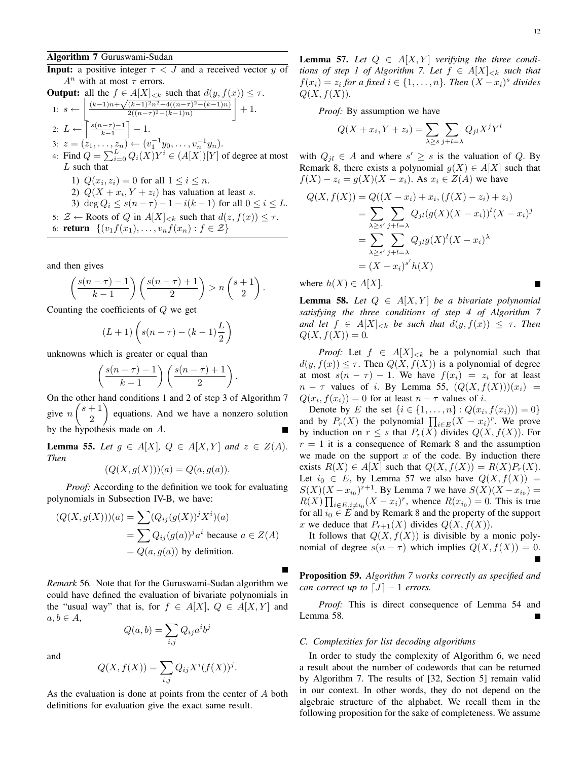**Input:** a positive integer  $\tau < J$  and a received vector y of  $A^n$  with at most  $\tau$  errors.

| Output: all the $f \in A[X]_{ such that d(y, f(x)) \leq \tau.$                                                             |
|----------------------------------------------------------------------------------------------------------------------------|
| 1: $s \leftarrow \left[ \frac{(k-1)n + \sqrt{(k-1)^2 n^2 + 4((n-\tau)^2 - (k-1)n)}}{2((n-\tau)^2 - (k-1)n)} \right] + 1$ . |
| 2: $L \leftarrow \left[ \frac{s(n-\tau)-1}{k-1} \right] - 1$ .                                                             |
| 3: $z = (z_1, \ldots, z_n) \leftarrow (v_1^{-1} y_0, \ldots, v_n^{-1} y_n)$ .                                              |
| 4: Find $Q = \sum_{i=0}^L Q_i(X) Y^i \in (A[X])[Y]$ of degree at most $L$ such that                                        |
| 1) $Q(x_i, z_i) = 0$ for all $1 \leq i \leq n$ .                                                                           |
| 2) $Q(X + x_i, Y + z_i)$ has valuation at least $s$ .                                                                      |
| 3) $\deg Q_i \leq s(n-\tau) - 1 - i(k-1)$ for all $0 \leq i \leq L$ .                                                      |
| 5: $Z \leftarrow \text{Roots of } Q$ in $A[X]_{ such that d(z, f(x)) \leq \tau.$                                           |
| 6: return $\{(v_1 f(x_1), \ldots, v_n f(x_n) : f \in Z\}$                                                                  |

and then gives

$$
\left(\frac{s(n-\tau)-1}{k-1}\right)\left(\frac{s(n-\tau)+1}{2}\right) > n\left(\frac{s+1}{2}\right).
$$

Counting the coefficients of Q we get

$$
(L+1)\left(s(n-\tau)-(k-1)\frac{L}{2}\right)
$$

unknowns which is greater or equal than

$$
\left(\frac{s(n-\tau)-1}{k-1}\right)\left(\frac{s(n-\tau)+1}{2}\right).
$$

On the other hand conditions 1 and 2 of step 3 of Algorithm 7 give  $n\binom{s+1}{2}$ 2 equations. And we have a nonzero solution by the hypothesis made on A.

**Lemma 55.** *Let*  $g \in A[X], Q \in A[X,Y]$  *and*  $z \in Z(A)$ *. Then*

$$
(Q(X, g(X)))(a) = Q(a, g(a)).
$$

*Proof:* According to the definition we took for evaluating polynomials in Subsection IV-B, we have:

$$
(Q(X, g(X)))(a) = \sum (Q_{ij}(g(X))^j X^i)(a)
$$
  
= 
$$
\sum Q_{ij}(g(a))^j a^i
$$
 because  $a \in Z(A)$   
= 
$$
Q(a, g(a))
$$
 by definition.

*Remark* 56*.* Note that for the Guruswami-Sudan algorithm we could have defined the evaluation of bivariate polynomials in the "usual way" that is, for  $f \in A[X], Q \in A[X, Y]$  and  $a, b \in A$ ,

 $Q(a, b) = \sum$  $_{i,j}$  $Q_{ij}a^ib^j$ 

and

$$
Q(X, f(X)) = \sum_{i,j} Q_{ij} X^{i} (f(X))^{j}.
$$

As the evaluation is done at points from the center of A both definitions for evaluation give the exact same result.

**Lemma 57.** Let  $Q \in A[X, Y]$  verifying the three condi*tions of step 1 of Algorithm 7. Let*  $f \in A[X]_{< k}$  *such that*  $f(x_i) = z_i$  for a fixed  $i \in \{1, \ldots, n\}$ . Then  $(X - x_i)^s$  divides  $Q(X, f(X))$ .

*Proof:* By assumption we have

$$
Q(X + x_i, Y + z_i) = \sum_{\lambda \ge s} \sum_{j+l=\lambda} Q_{jl} X^j Y^l
$$

with  $Q_{jl} \in A$  and where  $s' \geq s$  is the valuation of Q. By Remark 8, there exists a polynomial  $g(X) \in A[X]$  such that  $f(X) - z_i = g(X)(X - x_i)$ . As  $x_i \in Z(A)$  we have

$$
Q(X, f(X)) = Q((X - x_i) + x_i, (f(X) - z_i) + z_i)
$$
  
= 
$$
\sum_{\lambda \ge s'} \sum_{j+l=\lambda} Q_{jl}(g(X)(X - x_i))^l (X - x_i)^j
$$
  
= 
$$
\sum_{\lambda \ge s'} \sum_{j+l=\lambda} Q_{jl}g(X)^l (X - x_i)^{\lambda}
$$
  
= 
$$
(X - x_i)^{s'} h(X)
$$

where  $h(X) \in A[X]$ .

**Lemma 58.** Let  $Q \in A[X, Y]$  be a bivariate polynomial *satisfying the three conditions of step 4 of Algorithm 7 and let*  $f \in A[X]_{\leq k}$  *be such that*  $d(y, f(x)) \leq \tau$ . Then  $Q(X, f(X)) = 0.$ 

*Proof:* Let  $f \in A[X]_{< k}$  be a polynomial such that  $d(y, f(x)) \leq \tau$ . Then  $Q(X, f(X))$  is a polynomial of degree at most  $s(n - \tau) - 1$ . We have  $f(x_i) = z_i$  for at least  $n - \tau$  values of i. By Lemma 55,  $(Q(X, f(X)))(x_i)$  =  $Q(x_i, f(x_i)) = 0$  for at least  $n - \tau$  values of *i*.

Denote by E the set  $\{i \in \{1, ..., n\} : Q(x_i, f(x_i)) \} = 0\}$ and by  $P_r(X)$  the polynomial  $\prod_{i \in E} (X - x_i)^r$ . We prove by induction on  $r \leq s$  that  $P_r(X)$  divides  $Q(X, f(X))$ . For  $r = 1$  it is a consequence of Remark 8 and the assumption we made on the support  $x$  of the code. By induction there exists  $R(X) \in A[X]$  such that  $Q(X, f(X)) = R(X)P_r(X)$ . Let  $i_0 \in E$ , by Lemma 57 we also have  $Q(X, f(X)) =$  $S(X)(X - x_{i_0})^{r+1}$ . By Lemma 7 we have  $S(X)(X - x_{i_0}) =$  $R(X) \prod_{i \in E, i \neq i_0} (X - x_i)^r$ , whence  $R(x_{i_0}) = 0$ . This is true for all  $i_0 \in E$  and by Remark 8 and the property of the support x we deduce that  $P_{r+1}(X)$  divides  $Q(X, f(X))$ .

It follows that  $Q(X, f(X))$  is divisible by a monic polynomial of degree  $s(n - \tau)$  which implies  $Q(X, f(X)) = 0$ .

Proposition 59. *Algorithm 7 works correctly as specified and can correct up to*  $[J]$  − 1 *errors.* 

*Proof:* This is direct consequence of Lemma 54 and Lemma 58.

#### *C. Complexities for list decoding algorithms*

In order to study the complexity of Algorithm 6, we need a result about the number of codewords that can be returned by Algorithm 7. The results of [32, Section 5] remain valid in our context. In other words, they do not depend on the algebraic structure of the alphabet. We recall them in the following proposition for the sake of completeness. We assume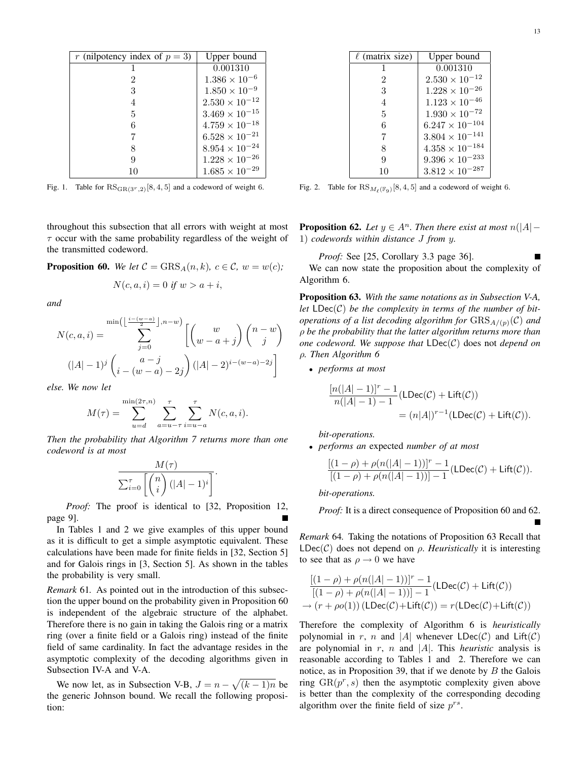| r (nilpotency index of $p = 3$ ) | Upper bound             |
|----------------------------------|-------------------------|
| 1                                | 0.001310                |
| 2                                | $1.386 \times 10^{-6}$  |
| 3                                | $1.850 \times 10^{-9}$  |
| 4                                | $2.530 \times 10^{-12}$ |
| 5                                | $3.469 \times 10^{-15}$ |
| 6                                | $4.759 \times 10^{-18}$ |
| 7                                | $6.528 \times 10^{-21}$ |
| 8                                | $8.954\times10^{-24}$   |
| 9                                | $1.228 \times 10^{-26}$ |
|                                  | $1.685 \times 10^{-29}$ |

Fig. 1. Table for  $\text{RS}_{\text{GR}(3^r,2)}[8,4,5]$  and a codeword of weight 6.

throughout this subsection that all errors with weight at most  $\tau$  occur with the same probability regardless of the weight of the transmitted codeword.

**Proposition 60.** *We let*  $C = \text{GRS}_A(n, k)$ *,*  $c \in \mathcal{C}$ *,*  $w = w(c)$ *;* 

$$
N(c, a, i) = 0 \text{ if } w > a + i,
$$

*and*

$$
N(c, a, i) = \sum_{j=0}^{\min\left(\left\lfloor\frac{i-(w-a)}{2}\right\rfloor, n-w\right)} \left[\binom{w}{w-a+j}\binom{n-w}{j}\right]
$$

$$
(|A|-1)^j \binom{a-j}{i-(w-a)-2j} (|A|-2)^{i-(w-a)-2j}\right]
$$

*else. We now let*

$$
M(\tau) = \sum_{u=d}^{\min(2\tau,n)} \sum_{a=u-\tau}^{\tau} \sum_{i=u-a}^{\tau} N(c, a, i).
$$

*Then the probability that Algorithm 7 returns more than one codeword is at most*

$$
\frac{M(\tau)}{\sum_{i=0}^{\tau} \left[ \binom{n}{i} \left( |A| - 1 \right)^i \right]}.
$$

*Proof:* The proof is identical to [32, Proposition 12, page 9].

In Tables 1 and 2 we give examples of this upper bound as it is difficult to get a simple asymptotic equivalent. These calculations have been made for finite fields in [32, Section 5] and for Galois rings in [3, Section 5]. As shown in the tables the probability is very small.

*Remark* 61*.* As pointed out in the introduction of this subsection the upper bound on the probability given in Proposition 60 is independent of the algebraic structure of the alphabet. Therefore there is no gain in taking the Galois ring or a matrix ring (over a finite field or a Galois ring) instead of the finite field of same cardinality. In fact the advantage resides in the asymptotic complexity of the decoding algorithms given in Subsection IV-A and V-A.

We now let, as in Subsection V-B,  $J = n - \sqrt{(k-1)n}$  be the generic Johnson bound. We recall the following proposition:

| $\ell$ (matrix size) | Upper bound              |
|----------------------|--------------------------|
|                      | 0.001310                 |
| 2                    | $2.530 \times 10^{-12}$  |
| 3                    | $1.228 \times 10^{-26}$  |
| 4                    | $1.123 \times 10^{-46}$  |
| 5                    | $1.930\times10^{-72}$    |
| 6                    | $6.247 \times 10^{-104}$ |
| 7                    | $3.804 \times 10^{-141}$ |
| 8                    | $4.358\times10^{-184}$   |
| q                    | $9.396\times10^{-233}$   |
| 10                   | $3.812\times10^{-287}$   |

Fig. 2. Table for  $\text{RS}_{M_{\ell}(\mathbb{F}_9)}[8, 4, 5]$  and a codeword of weight 6.

**Proposition 62.** *Let*  $y \in A^n$ *. Then there exist at most*  $n(|A| -$ 1) *codewords within distance* J *from* y*.*

*Proof:* See [25, Corollary 3.3 page 36]. П We can now state the proposition about the complexity of Algorithm 6.

Proposition 63. *With the same notations as in Subsection V-A,* let  $LDec(C)$  be the complexity in terms of the number of bit*operations of a list decoding algorithm for*  $GRS_{A/(p)}(\mathcal{C})$  *and* ρ *be the probability that the latter algorithm returns more than one codeword. We suppose that* LDec(C) does not *depend on* ρ*. Then Algorithm 6*

• *performs at most*

$$
\frac{[n(|A|-1)]^r - 1}{n(|A|-1) - 1} (\text{LDec}(\mathcal{C}) + \text{Lift}(\mathcal{C}))
$$
  
=  $(n|A|)^{r-1} (\text{LDec}(\mathcal{C}) + \text{Lift}(\mathcal{C})).$ 

*bit-operations.*

• *performs an* expected *number of at most*

$$
\frac{[(1-\rho)+\rho(n(|A|-1))]^r-1}{[(1-\rho)+\rho(n(|A|-1))]-1}(\mathrm{LDec}(\mathcal{C})+\mathrm{Lift}(\mathcal{C})).
$$

*bit-operations.*

*Proof:* It is a direct consequence of Proposition 60 and 62.

*Remark* 64*.* Taking the notations of Proposition 63 Recall that  $LDec(\mathcal{C})$  does not depend on  $\rho$ . *Heuristically* it is interesting to see that as  $\rho \rightarrow 0$  we have

$$
\frac{[(1-\rho)+\rho(n(|A|-1))]^r-1}{[(1-\rho)+\rho(n(|A|-1))]-1}(\text{LDec}(\mathcal{C})+\text{Lift}(\mathcal{C}))
$$
  

$$
\rightarrow (r+\rho o(1))\left(\text{LDec}(\mathcal{C})+\text{Lift}(\mathcal{C})\right)=r(\text{LDec}(\mathcal{C})+\text{Lift}(\mathcal{C}))
$$

Therefore the complexity of Algorithm 6 is *heuristically* polynomial in r, n and |A| whenever  $LDec(C)$  and  $Lift(C)$ are polynomial in  $r$ ,  $n$  and  $|A|$ . This *heuristic* analysis is reasonable according to Tables 1 and 2. Therefore we can notice, as in Proposition 39, that if we denote by  $B$  the Galois ring  $\text{GR}(p^r, s)$  then the asymptotic complexity given above is better than the complexity of the corresponding decoding algorithm over the finite field of size  $p^{rs}$ .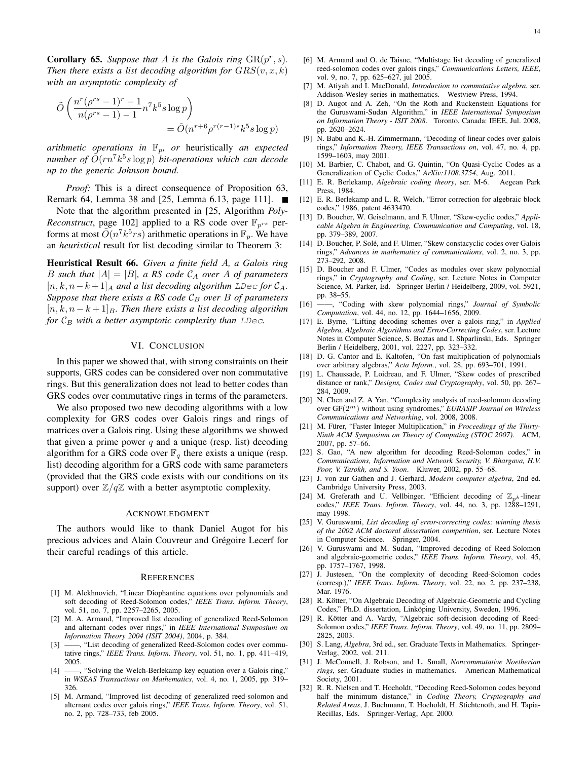**Corollary 65.** Suppose that A is the Galois ring  $\text{GR}(p^r, s)$ . *Then there exists a list decoding algorithm for*  $GRS(v, x, k)$ *with an asymptotic complexity of*

$$
\tilde{O}\left(\frac{n^r(\rho^{rs}-1)^r - 1}{n(\rho^{rs}-1) - 1} n^7 k^5 s \log p\right) \n= \tilde{O}(n^{r+6} \rho^{r(r-1)s} k^5 s \log p)
$$

*arithmetic operations in*  $\mathbb{F}_p$ *, or heuristically an expected*  $n$ umber of  $\tilde{O}(rn^7k^5s \log p)$  *bit-operations which can decode up to the generic Johnson bound.*

*Proof:* This is a direct consequence of Proposition 63, Remark 64, Lemma 38 and [25, Lemma 6.13, page 111]. ■

Note that the algorithm presented in [25, Algorithm *Poly-Reconstruct*, page 102] applied to a RS code over  $\mathbb{F}_{p^{rs}}$  performs at most  $\tilde{O}(n^7 k^5 rs)$  arithmetic operations in  $\mathbb{F}_p$ . We have an *heuristical* result for list decoding similar to Theorem 3:

Heuristical Result 66. *Given a finite field* A*, a Galois ring* B such that  $|A| = |B|$ , a RS code  $\mathcal{C}_A$  over A of parameters  $[n, k, n-k+1]_A$  *and a list decoding algorithm* LDec for  $C_A$ . *Suppose that there exists a RS code*  $C_B$  *over B of parameters*  $[n, k, n - k + 1]_B$ *. Then there exists a list decoding algorithm for*  $C_B$  *with a better asymptotic complexity than*  $LDec$ *.* 

## VI. CONCLUSION

In this paper we showed that, with strong constraints on their supports, GRS codes can be considered over non commutative rings. But this generalization does not lead to better codes than GRS codes over commutative rings in terms of the parameters.

We also proposed two new decoding algorithms with a low complexity for GRS codes over Galois rings and rings of matrices over a Galois ring. Using these algorithms we showed that given a prime power  $q$  and a unique (resp. list) decoding algorithm for a GRS code over  $\mathbb{F}_q$  there exists a unique (resp. list) decoding algorithm for a GRS code with same parameters (provided that the GRS code exists with our conditions on its support) over  $\mathbb{Z}/q\mathbb{Z}$  with a better asymptotic complexity.

#### ACKNOWLEDGMENT

The authors would like to thank Daniel Augot for his precious advices and Alain Couvreur and Grégoire Lecerf for their careful readings of this article.

#### **REFERENCES**

- [1] M. Alekhnovich, "Linear Diophantine equations over polynomials and soft decoding of Reed-Solomon codes," *IEEE Trans. Inform. Theory*, vol. 51, no. 7, pp. 2257–2265, 2005.
- [2] M. A. Armand, "Improved list decoding of generalized Reed-Solomon and alternant codes over rings," in *IEEE International Symposium on Information Theory 2004 (ISIT 2004)*, 2004, p. 384.
- [3] ——, "List decoding of generalized Reed-Solomon codes over commutative rings," *IEEE Trans. Inform. Theory*, vol. 51, no. 1, pp. 411–419, 2005.
- [4] ——, "Solving the Welch-Berlekamp key equation over a Galois ring," in *WSEAS Transactions on Mathematics*, vol. 4, no. 1, 2005, pp. 319– 326.
- [5] M. Armand, "Improved list decoding of generalized reed-solomon and alternant codes over galois rings," *IEEE Trans. Inform. Theory*, vol. 51, no. 2, pp. 728–733, feb 2005.
- [7] M. Atiyah and I. MacDonald, *Introduction to commutative algebra*, ser. Addison-Wesley series in mathematics. Westview Press, 1994.
- [8] D. Augot and A. Zeh, "On the Roth and Ruckenstein Equations for the Guruswami-Sudan Algorithm," in *IEEE International Symposium on Information Theory - ISIT 2008*. Toronto, Canada: IEEE, Jul. 2008, pp. 2620–2624.
- [9] N. Babu and K.-H. Zimmermann, "Decoding of linear codes over galois rings," *Information Theory, IEEE Transactions on*, vol. 47, no. 4, pp. 1599–1603, may 2001.
- [10] M. Barbier, C. Chabot, and G. Quintin, "On Quasi-Cyclic Codes as a Generalization of Cyclic Codes," *ArXiv:1108.3754*, Aug. 2011.
- [11] E. R. Berlekamp, *Algebraic coding theory*, ser. M-6. Aegean Park Press, 1984.
- [12] E. R. Berlekamp and L. R. Welch, "Error correction for algebraic block codes," 1986, patent 4633470.
- [13] D. Boucher, W. Geiselmann, and F. Ulmer, "Skew-cyclic codes," *Applicable Algebra in Engineering, Communication and Computing*, vol. 18, pp. 379–389, 2007.
- [14] D. Boucher, P. Solé, and F. Ulmer, "Skew constacyclic codes over Galois rings," *Advances in mathematics of communications*, vol. 2, no. 3, pp. 273–292, 2008.
- [15] D. Boucher and F. Ulmer, "Codes as modules over skew polynomial rings," in *Cryptography and Coding*, ser. Lecture Notes in Computer Science, M. Parker, Ed. Springer Berlin / Heidelberg, 2009, vol. 5921, pp. 38–55.
- [16] ——, "Coding with skew polynomial rings," *Journal of Symbolic Computation*, vol. 44, no. 12, pp. 1644–1656, 2009.
- [17] E. Byrne, "Lifting decoding schemes over a galois ring," in *Applied Algebra, Algebraic Algorithms and Error-Correcting Codes*, ser. Lecture Notes in Computer Science, S. Boztas and I. Shparlinski, Eds. Springer Berlin / Heidelberg, 2001, vol. 2227, pp. 323–332.
- [18] D. G. Cantor and E. Kaltofen, "On fast multiplication of polynomials over arbitrary algebras," *Acta Inform.*, vol. 28, pp. 693–701, 1991.
- [19] L. Chaussade, P. Loidreau, and F. Ulmer, "Skew codes of prescribed distance or rank," *Designs, Codes and Cryptography*, vol. 50, pp. 267– 284, 2009.
- [20] N. Chen and Z. A Yan, "Complexity analysis of reed-solomon decoding over GF(2m) without using syndromes," *EURASIP Journal on Wireless Communications and Networking*, vol. 2008, 2008.
- [21] M. Fürer, "Faster Integer Multiplication," in Proceedings of the Thirty-*Ninth ACM Symposium on Theory of Computing (STOC 2007)*. ACM, 2007, pp. 57–66.
- [22] S. Gao, "A new algorithm for decoding Reed-Solomon codes," in *Communications, Information and Network Security, V. Bhargava, H.V. Poor, V. Tarokh, and S. Yoon*. Kluwer, 2002, pp. 55–68.
- [23] J. von zur Gathen and J. Gerhard, *Modern computer algebra*, 2nd ed. Cambridge University Press, 2003.
- [24] M. Greferath and U. Vellbinger, "Efficient decoding of  $\mathbb{Z}_{n^k}$ -linear codes," *IEEE Trans. Inform. Theory*, vol. 44, no. 3, pp. 1288–1291, may 1998.
- [25] V. Guruswami, *List decoding of error-correcting codes: winning thesis of the 2002 ACM doctoral dissertation competition*, ser. Lecture Notes in Computer Science. Springer, 2004.
- [26] V. Guruswami and M. Sudan, "Improved decoding of Reed-Solomon and algebraic-geometric codes," *IEEE Trans. Inform. Theory*, vol. 45, pp. 1757–1767, 1998.
- [27] J. Justesen, "On the complexity of decoding Reed-Solomon codes (corresp.)," *IEEE Trans. Inform. Theory*, vol. 22, no. 2, pp. 237–238, Mar. 1976.
- [28] R. Kötter, "On Algebraic Decoding of Algebraic-Geometric and Cycling Codes," Ph.D. dissertation, Linköping University, Sweden, 1996.
- [29] R. Kötter and A. Vardy, "Algebraic soft-decision decoding of Reed-Solomon codes," *IEEE Trans. Inform. Theory*, vol. 49, no. 11, pp. 2809– 2825, 2003.
- [30] S. Lang, *Algebra*, 3rd ed., ser. Graduate Texts in Mathematics. Springer-Verlag, 2002, vol. 211.
- [31] J. McConnell, J. Robson, and L. Small, *Noncommutative Noetherian rings*, ser. Graduate studies in mathematics. American Mathematical Society, 2001.
- [32] R. R. Nielsen and T. Hoeholdt, "Decoding Reed-Solomon codes beyond half the minimum distance," in *Coding Theory, Cryptography and Related Areas*, J. Buchmann, T. Hoeholdt, H. Stichtenoth, and H. Tapia-Recillas, Eds. Springer-Verlag, Apr. 2000.